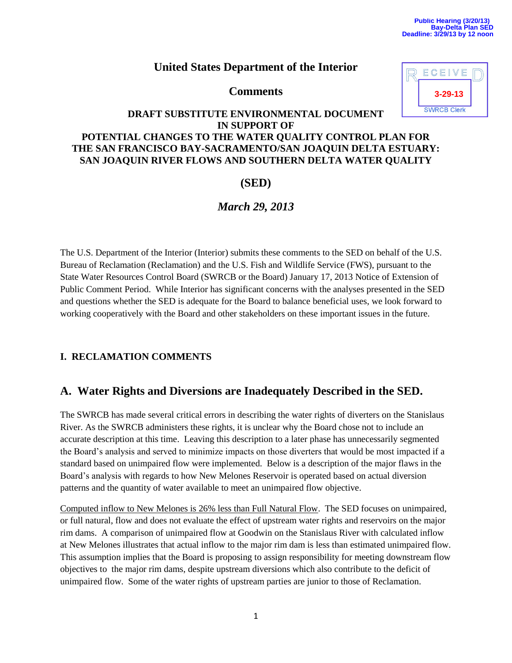**3-29-13**

ECEIVE

### **United States Department of the Interior**

**Comments** 

| DRAFT SUBSTITUTE ENVIRONMENTAL DOCUMENT                     | <b>SWRCB Clerk</b> |
|-------------------------------------------------------------|--------------------|
| <b>IN SUPPORT OF</b>                                        |                    |
| POTENTIAL CHANGES TO THE WATER QUALITY CONTROL PLAN FOR     |                    |
| THE SAN FRANCISCO BAY-SACRAMENTO/SAN JOAQUIN DELTA ESTUARY: |                    |
| SAN JOAQUIN RIVER FLOWS AND SOUTHERN DELTA WATER QUALITY    |                    |

### **(SED)**

## *March 29, 2013*

The U.S. Department of the Interior (Interior) submits these comments to the SED on behalf of the U.S. Bureau of Reclamation (Reclamation) and the U.S. Fish and Wildlife Service (FWS), pursuant to the State Water Resources Control Board (SWRCB or the Board) January 17, 2013 Notice of Extension of Public Comment Period. While Interior has significant concerns with the analyses presented in the SED and questions whether the SED is adequate for the Board to balance beneficial uses, we look forward to working cooperatively with the Board and other stakeholders on these important issues in the future.

#### **I. RECLAMATION COMMENTS**

## **A. Water Rights and Diversions are Inadequately Described in the SED.**

The SWRCB has made several critical errors in describing the water rights of diverters on the Stanislaus River. As the SWRCB administers these rights, it is unclear why the Board chose not to include an accurate description at this time. Leaving this description to a later phase has unnecessarily segmented the Board's analysis and served to minimize impacts on those diverters that would be most impacted if a standard based on unimpaired flow were implemented. Below is a description of the major flaws in the Board's analysis with regards to how New Melones Reservoir is operated based on actual diversion patterns and the quantity of water available to meet an unimpaired flow objective.

Computed inflow to New Melones is 26% less than Full Natural Flow. The SED focuses on unimpaired, or full natural, flow and does not evaluate the effect of upstream water rights and reservoirs on the major rim dams. A comparison of unimpaired flow at Goodwin on the Stanislaus River with calculated inflow at New Melones illustrates that actual inflow to the major rim dam is less than estimated unimpaired flow. This assumption implies that the Board is proposing to assign responsibility for meeting downstream flow objectives to the major rim dams, despite upstream diversions which also contribute to the deficit of unimpaired flow. Some of the water rights of upstream parties are junior to those of Reclamation.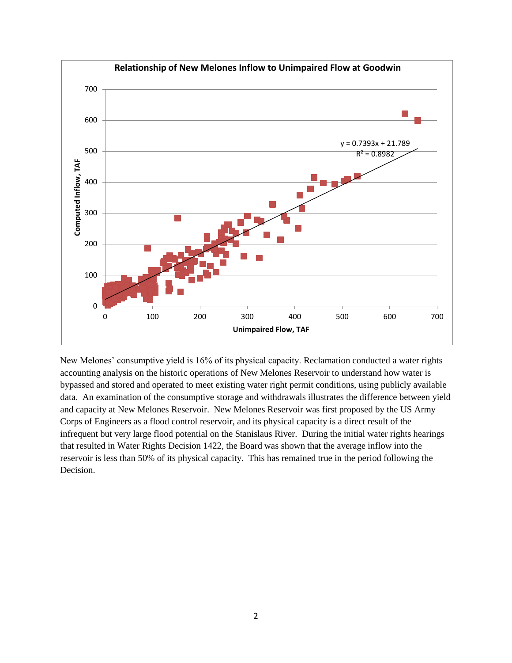

New Melones' consumptive yield is 16% of its physical capacity. Reclamation conducted a water rights accounting analysis on the historic operations of New Melones Reservoir to understand how water is bypassed and stored and operated to meet existing water right permit conditions, using publicly available data. An examination of the consumptive storage and withdrawals illustrates the difference between yield and capacity at New Melones Reservoir. New Melones Reservoir was first proposed by the US Army Corps of Engineers as a flood control reservoir, and its physical capacity is a direct result of the infrequent but very large flood potential on the Stanislaus River. During the initial water rights hearings that resulted in Water Rights Decision 1422, the Board was shown that the average inflow into the reservoir is less than 50% of its physical capacity. This has remained true in the period following the Decision.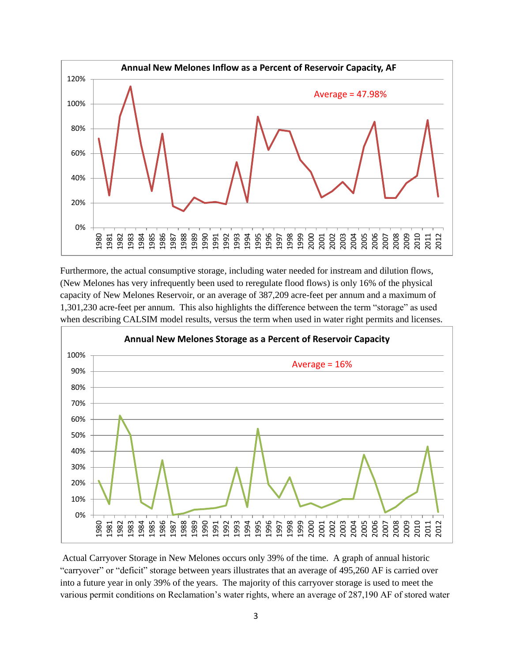

Furthermore, the actual consumptive storage, including water needed for instream and dilution flows, (New Melones has very infrequently been used to reregulate flood flows) is only 16% of the physical capacity of New Melones Reservoir, or an average of 387,209 acre-feet per annum and a maximum of 1,301,230 acre-feet per annum. This also highlights the difference between the term "storage" as used when describing CALSIM model results, versus the term when used in water right permits and licenses.



Actual Carryover Storage in New Melones occurs only 39% of the time. A graph of annual historic "carryover" or "deficit" storage between years illustrates that an average of 495,260 AF is carried over into a future year in only 39% of the years. The majority of this carryover storage is used to meet the various permit conditions on Reclamation's water rights, where an average of 287,190 AF of stored water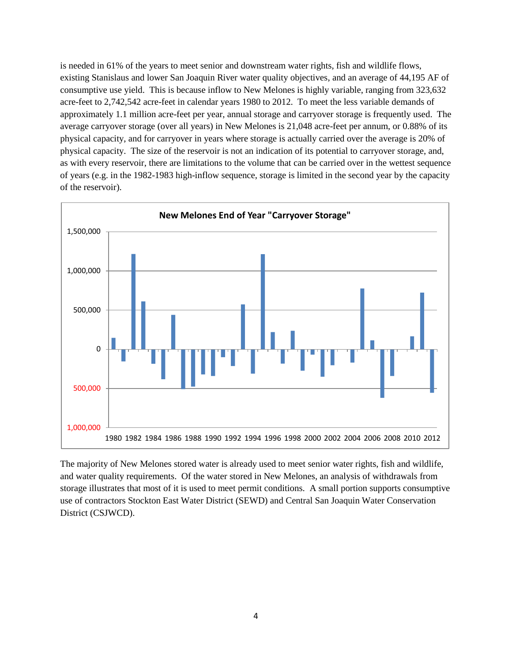is needed in 61% of the years to meet senior and downstream water rights, fish and wildlife flows, existing Stanislaus and lower San Joaquin River water quality objectives, and an average of 44,195 AF of consumptive use yield. This is because inflow to New Melones is highly variable, ranging from 323,632 acre-feet to 2,742,542 acre-feet in calendar years 1980 to 2012. To meet the less variable demands of approximately 1.1 million acre-feet per year, annual storage and carryover storage is frequently used. The average carryover storage (over all years) in New Melones is 21,048 acre-feet per annum, or 0.88% of its physical capacity, and for carryover in years where storage is actually carried over the average is 20% of physical capacity. The size of the reservoir is not an indication of its potential to carryover storage, and, as with every reservoir, there are limitations to the volume that can be carried over in the wettest sequence of years (e.g. in the 1982-1983 high-inflow sequence, storage is limited in the second year by the capacity of the reservoir).



The majority of New Melones stored water is already used to meet senior water rights, fish and wildlife, and water quality requirements. Of the water stored in New Melones, an analysis of withdrawals from storage illustrates that most of it is used to meet permit conditions. A small portion supports consumptive use of contractors Stockton East Water District (SEWD) and Central San Joaquin Water Conservation District (CSJWCD).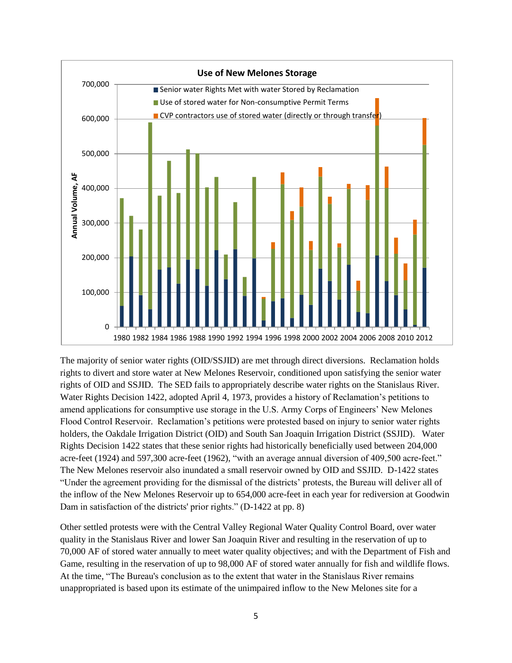

The majority of senior water rights (OID/SSJID) are met through direct diversions. Reclamation holds rights to divert and store water at New Melones Reservoir, conditioned upon satisfying the senior water rights of OID and SSJID. The SED fails to appropriately describe water rights on the Stanislaus River. Water Rights Decision 1422, adopted April 4, 1973, provides a history of Reclamation's petitions to amend applications for consumptive use storage in the U.S. Army Corps of Engineers' New Melones Flood ControI Reservoir. Reclamation's petitions were protested based on injury to senior water rights holders, the Oakdale Irrigation District (OID) and South San Joaquin Irrigation District (SSJID). Water Rights Decision 1422 states that these senior rights had historically beneficially used between 204,000 acre-feet (1924) and 597,300 acre-feet (1962), "with an average annual diversion of 409,500 acre-feet." The New Melones reservoir also inundated a small reservoir owned by OID and SSJID. D-1422 states "Under the agreement providing for the dismissal of the districts' protests, the Bureau will deliver all of the inflow of the New Melones Reservoir up to 654,000 acre-feet in each year for rediversion at Goodwin Dam in satisfaction of the districts' prior rights." (D-1422 at pp. 8)

Other settled protests were with the Central Valley Regional Water Quality Control Board, over water quality in the Stanislaus River and lower San Joaquin River and resulting in the reservation of up to 70,000 AF of stored water annually to meet water quality objectives; and with the Department of Fish and Game, resulting in the reservation of up to 98,000 AF of stored water annually for fish and wildlife flows. At the time, "The Bureau's conclusion as to the extent that water in the Stanislaus River remains unappropriated is based upon its estimate of the unimpaired inflow to the New Melones site for a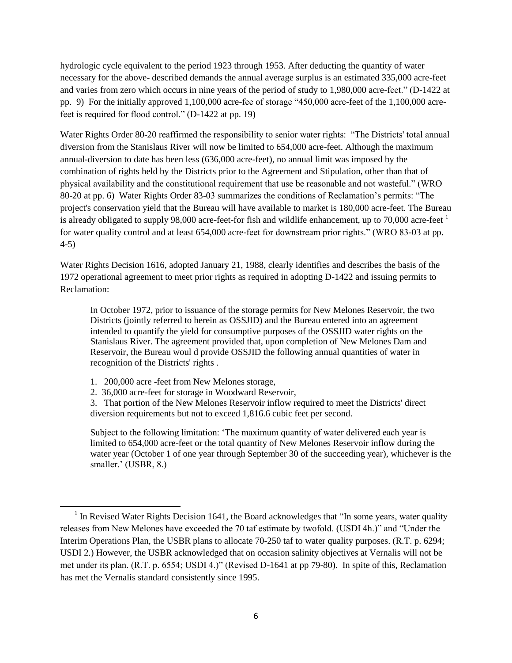hydrologic cycle equivalent to the period 1923 through 1953. After deducting the quantity of water necessary for the above- described demands the annual average surplus is an estimated 335,000 acre-feet and varies from zero which occurs in nine years of the period of study to 1,980,000 acre-feet." (D-1422 at pp. 9) For the initially approved 1,100,000 acre-fee of storage "450,000 acre-feet of the 1,100,000 acrefeet is required for flood control." (D-1422 at pp. 19)

Water Rights Order 80-20 reaffirmed the responsibility to senior water rights: "The Districts' total annual diversion from the Stanislaus River will now be limited to 654,000 acre-feet. Although the maximum annual-diversion to date has been less (636,000 acre-feet), no annual limit was imposed by the combination of rights held by the Districts prior to the Agreement and Stipulation, other than that of physical availability and the constitutional requirement that use be reasonable and not wasteful." (WRO 80-20 at pp. 6) Water Rights Order 83-03 summarizes the conditions of Reclamation's permits: "The project's conservation yield that the Bureau will have available to market is 180,000 acre-feet. The Bureau is already obligated to supply 98,000 acre-feet-for fish and wildlife enhancement, up to 70,000 acre-feet <sup>1</sup> for water quality control and at least 654,000 acre-feet for downstream prior rights." (WRO 83-03 at pp. 4-5)

Water Rights Decision 1616, adopted January 21, 1988, clearly identifies and describes the basis of the 1972 operational agreement to meet prior rights as required in adopting D-1422 and issuing permits to Reclamation:

In October 1972, prior to issuance of the storage permits for New Melones Reservoir, the two Districts (jointly referred to herein as OSSJID) and the Bureau entered into an agreement intended to quantify the yield for consumptive purposes of the OSSJID water rights on the Stanislaus River. The agreement provided that, upon completion of New Melones Dam and Reservoir, the Bureau woul d provide OSSJID the following annual quantities of water in recognition of the Districts' rights .

1. 200,000 acre -feet from New Melones storage,

 $\overline{\phantom{a}}$ 

2. 36,000 acre-feet for storage in Woodward Reservoir,

3. That portion of the New Melones Reservoir inflow required to meet the Districts' direct diversion requirements but not to exceed 1,816.6 cubic feet per second.

Subject to the following limitation: 'The maximum quantity of water delivered each year is limited to 654,000 acre-feet or the total quantity of New Melones Reservoir inflow during the water year (October 1 of one year through September 30 of the succeeding year), whichever is the smaller.' (USBR, 8.)

 $<sup>1</sup>$  In Revised Water Rights Decision 1641, the Board acknowledges that "In some years, water quality</sup> releases from New Melones have exceeded the 70 taf estimate by twofold. (USDI 4h.)" and "Under the Interim Operations Plan, the USBR plans to allocate 70-250 taf to water quality purposes. (R.T. p. 6294; USDI 2.) However, the USBR acknowledged that on occasion salinity objectives at Vernalis will not be met under its plan. (R.T. p. 6554; USDI 4.)" (Revised D-1641 at pp 79-80). In spite of this, Reclamation has met the Vernalis standard consistently since 1995.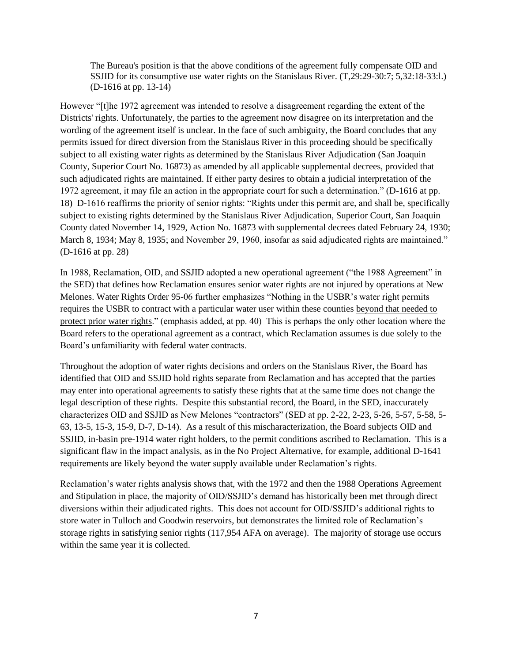The Bureau's position is that the above conditions of the agreement fully compensate OID and SSJID for its consumptive use water rights on the Stanislaus River. (T,29:29-30:7; 5,32:18-33:l.) (D-1616 at pp. 13-14)

However "[t]he 1972 agreement was intended to resolve a disagreement regarding the extent of the Districts' rights. Unfortunately, the parties to the agreement now disagree on its interpretation and the wording of the agreement itself is unclear. In the face of such ambiguity, the Board concludes that any permits issued for direct diversion from the Stanislaus River in this proceeding should be specifically subject to all existing water rights as determined by the Stanislaus River Adjudication (San Joaquin County, Superior Court No. 16873) as amended by all applicable supplemental decrees, provided that such adjudicated rights are maintained. If either party desires to obtain a judicial interpretation of the 1972 agreement, it may file an action in the appropriate court for such a determination." (D-1616 at pp. 18) D-1616 reaffirms the priority of senior rights: "Rights under this permit are, and shall be, specifically subject to existing rights determined by the Stanislaus River Adjudication, Superior Court, San Joaquin County dated November 14, 1929, Action No. 16873 with supplemental decrees dated February 24, 1930; March 8, 1934; May 8, 1935; and November 29, 1960, insofar as said adjudicated rights are maintained." (D-1616 at pp. 28)

In 1988, Reclamation, OID, and SSJID adopted a new operational agreement ("the 1988 Agreement" in the SED) that defines how Reclamation ensures senior water rights are not injured by operations at New Melones. Water Rights Order 95-06 further emphasizes "Nothing in the USBR's water right permits requires the USBR to contract with a particular water user within these counties beyond that needed to protect prior water rights." (emphasis added, at pp. 40) This is perhaps the only other location where the Board refers to the operational agreement as a contract, which Reclamation assumes is due solely to the Board's unfamiliarity with federal water contracts.

Throughout the adoption of water rights decisions and orders on the Stanislaus River, the Board has identified that OID and SSJID hold rights separate from Reclamation and has accepted that the parties may enter into operational agreements to satisfy these rights that at the same time does not change the legal description of these rights. Despite this substantial record, the Board, in the SED, inaccurately characterizes OID and SSJID as New Melones "contractors" (SED at pp. 2-22, 2-23, 5-26, 5-57, 5-58, 5- 63, 13-5, 15-3, 15-9, D-7, D-14). As a result of this mischaracterization, the Board subjects OID and SSJID, in-basin pre-1914 water right holders, to the permit conditions ascribed to Reclamation. This is a significant flaw in the impact analysis, as in the No Project Alternative, for example, additional D-1641 requirements are likely beyond the water supply available under Reclamation's rights.

Reclamation's water rights analysis shows that, with the 1972 and then the 1988 Operations Agreement and Stipulation in place, the majority of OID/SSJID's demand has historically been met through direct diversions within their adjudicated rights. This does not account for OID/SSJID's additional rights to store water in Tulloch and Goodwin reservoirs, but demonstrates the limited role of Reclamation's storage rights in satisfying senior rights (117,954 AFA on average). The majority of storage use occurs within the same year it is collected.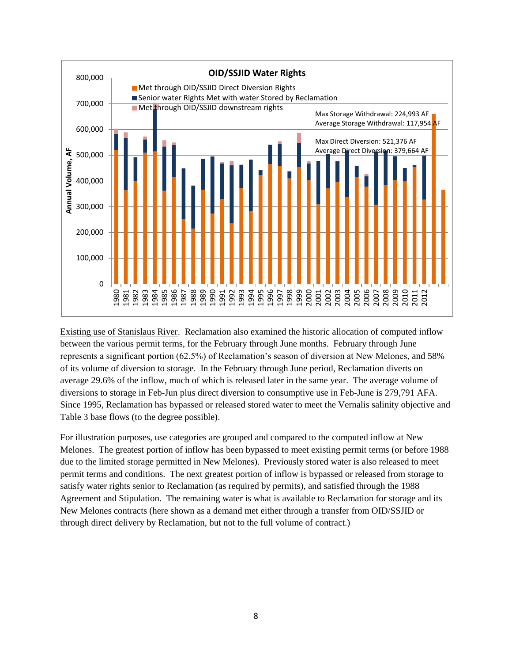

Existing use of Stanislaus River. Reclamation also examined the historic allocation of computed inflow between the various permit terms, for the February through June months. February through June represents a significant portion (62.5%) of Reclamation's season of diversion at New Melones, and 58% of its volume of diversion to storage. In the February through June period, Reclamation diverts on average 29.6% of the inflow, much of which is released later in the same year. The average volume of diversions to storage in Feb-Jun plus direct diversion to consumptive use in Feb-June is 279,791 AFA. Since 1995, Reclamation has bypassed or released stored water to meet the Vernalis salinity objective and Table 3 base flows (to the degree possible).

For illustration purposes, use categories are grouped and compared to the computed inflow at New Melones. The greatest portion of inflow has been bypassed to meet existing permit terms (or before 1988 due to the limited storage permitted in New Melones). Previously stored water is also released to meet permit terms and conditions. The next greatest portion of inflow is bypassed or released from storage to satisfy water rights senior to Reclamation (as required by permits), and satisfied through the 1988 Agreement and Stipulation. The remaining water is what is available to Reclamation for storage and its New Melones contracts (here shown as a demand met either through a transfer from OID/SSJID or through direct delivery by Reclamation, but not to the full volume of contract.)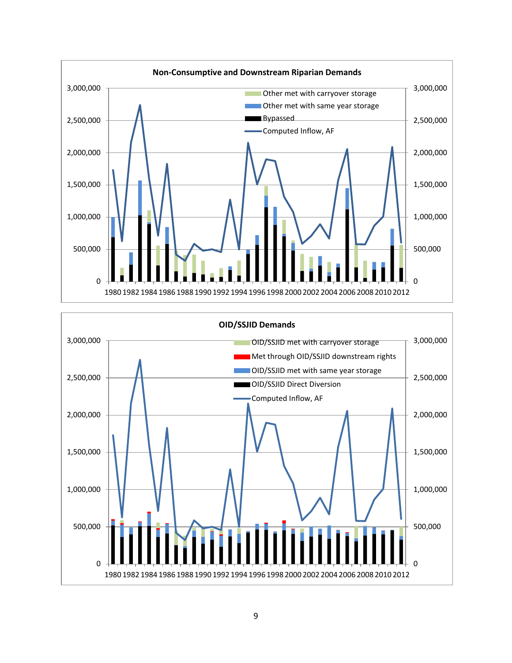

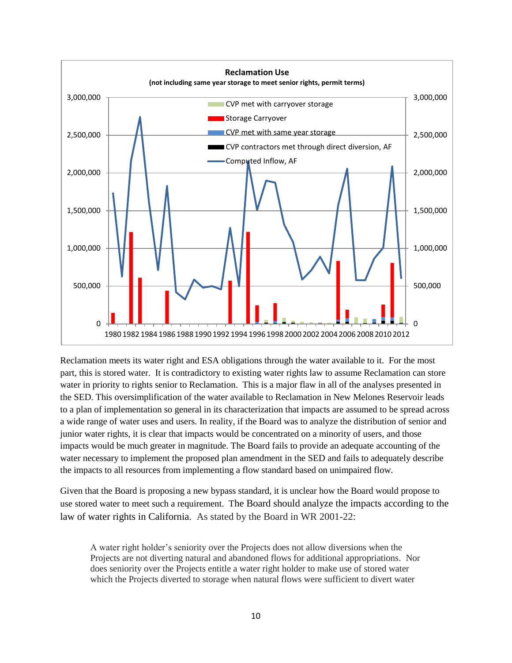

Reclamation meets its water right and ESA obligations through the water available to it. For the most part, this is stored water. It is contradictory to existing water rights law to assume Reclamation can store water in priority to rights senior to Reclamation. This is a major flaw in all of the analyses presented in the SED. This oversimplification of the water available to Reclamation in New Melones Reservoir leads to a plan of implementation so general in its characterization that impacts are assumed to be spread across a wide range of water uses and users. In reality, if the Board was to analyze the distribution of senior and junior water rights, it is clear that impacts would be concentrated on a minority of users, and those impacts would be much greater in magnitude. The Board fails to provide an adequate accounting of the water necessary to implement the proposed plan amendment in the SED and fails to adequately describe the impacts to all resources from implementing a flow standard based on unimpaired flow.

Given that the Board is proposing a new bypass standard, it is unclear how the Board would propose to use stored water to meet such a requirement. The Board should analyze the impacts according to the law of water rights in California. As stated by the Board in WR 2001-22:

A water right holder's seniority over the Projects does not allow diversions when the Projects are not diverting natural and abandoned flows for additional appropriations. Nor does seniority over the Projects entitle a water right holder to make use of stored water which the Projects diverted to storage when natural flows were sufficient to divert water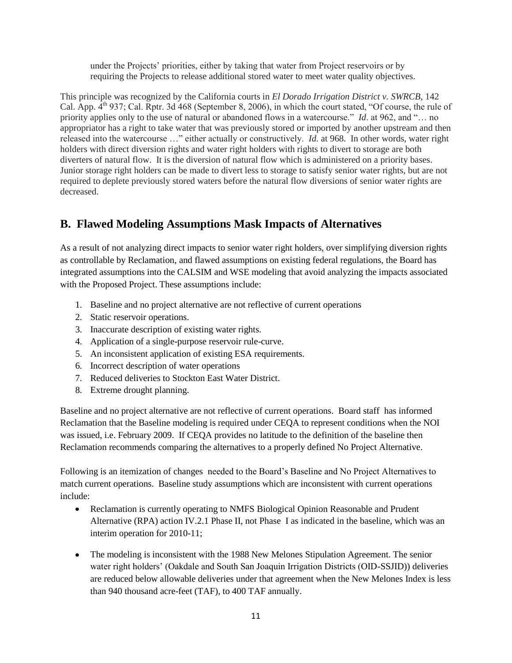under the Projects' priorities, either by taking that water from Project reservoirs or by requiring the Projects to release additional stored water to meet water quality objectives.

This principle was recognized by the California courts in *El Dorado Irrigation District v. SWRCB*, 142 Cal. App.  $4<sup>th</sup>$  937; Cal. Rptr. 3d 468 (September 8, 2006), in which the court stated, "Of course, the rule of priority applies only to the use of natural or abandoned flows in a watercourse." *Id*. at 962, and "… no appropriator has a right to take water that was previously stored or imported by another upstream and then released into the watercourse …" either actually or constructively. *Id.* at 968. In other words, water right holders with direct diversion rights and water right holders with rights to divert to storage are both diverters of natural flow. It is the diversion of natural flow which is administered on a priority bases. Junior storage right holders can be made to divert less to storage to satisfy senior water rights, but are not required to deplete previously stored waters before the natural flow diversions of senior water rights are decreased.

# **B. Flawed Modeling Assumptions Mask Impacts of Alternatives**

As a result of not analyzing direct impacts to senior water right holders, over simplifying diversion rights as controllable by Reclamation, and flawed assumptions on existing federal regulations, the Board has integrated assumptions into the CALSIM and WSE modeling that avoid analyzing the impacts associated with the Proposed Project. These assumptions include:

- 1. Baseline and no project alternative are not reflective of current operations
- 2. Static reservoir operations.
- 3. Inaccurate description of existing water rights.
- 4. Application of a single-purpose reservoir rule-curve.
- 5. An inconsistent application of existing ESA requirements.
- 6. Incorrect description of water operations
- 7. Reduced deliveries to Stockton East Water District.
- 8. Extreme drought planning.

Baseline and no project alternative are not reflective of current operations. Board staff has informed Reclamation that the Baseline modeling is required under CEQA to represent conditions when the NOI was issued, i.e. February 2009. If CEQA provides no latitude to the definition of the baseline then Reclamation recommends comparing the alternatives to a properly defined No Project Alternative.

Following is an itemization of changes needed to the Board's Baseline and No Project Alternatives to match current operations. Baseline study assumptions which are inconsistent with current operations include:

- Reclamation is currently operating to NMFS Biological Opinion Reasonable and Prudent Alternative (RPA) action IV.2.1 Phase II, not Phase I as indicated in the baseline, which was an interim operation for 2010-11;
- The modeling is inconsistent with the 1988 New Melones Stipulation Agreement. The senior water right holders' (Oakdale and South San Joaquin Irrigation Districts (OID-SSJID)) deliveries are reduced below allowable deliveries under that agreement when the New Melones Index is less than 940 thousand acre-feet (TAF), to 400 TAF annually.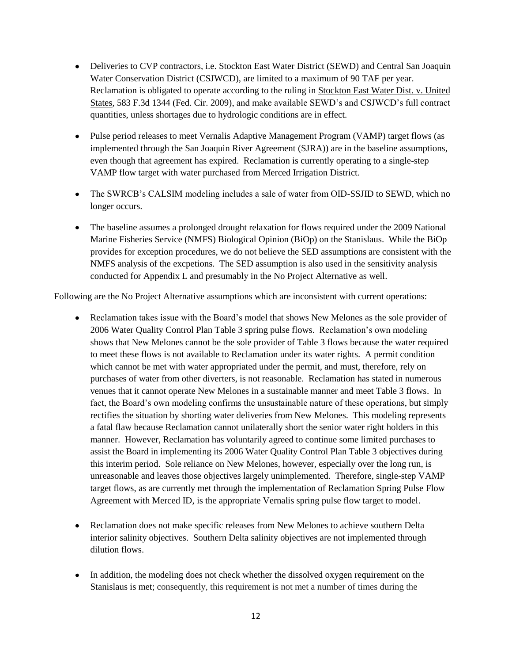- Deliveries to CVP contractors, i.e. Stockton East Water District (SEWD) and Central San Joaquin Water Conservation District (CSJWCD), are limited to a maximum of 90 TAF per year. Reclamation is obligated to operate according to the ruling in [Stockton East Water Dist. v. United](http://www.lexis.com/research/xlink?app=00075&view=full&searchtype=le&search=583+F.3d+1344)  [States, 583 F.3d 1344 \(Fed. Cir. 2009\),](http://www.lexis.com/research/xlink?app=00075&view=full&searchtype=le&search=583+F.3d+1344) and make available SEWD's and CSJWCD's full contract quantities, unless shortages due to hydrologic conditions are in effect.
- Pulse period releases to meet Vernalis Adaptive Management Program (VAMP) target flows (as implemented through the San Joaquin River Agreement (SJRA)) are in the baseline assumptions, even though that agreement has expired. Reclamation is currently operating to a single-step VAMP flow target with water purchased from Merced Irrigation District.
- The SWRCB's CALSIM modeling includes a sale of water from OID-SSJID to SEWD, which no longer occurs.
- The baseline assumes a prolonged drought relaxation for flows required under the 2009 National Marine Fisheries Service (NMFS) Biological Opinion (BiOp) on the Stanislaus. While the BiOp provides for exception procedures, we do not believe the SED assumptions are consistent with the NMFS analysis of the excpetions. The SED assumption is also used in the sensitivity analysis conducted for Appendix L and presumably in the No Project Alternative as well.

Following are the No Project Alternative assumptions which are inconsistent with current operations:

- Reclamation takes issue with the Board's model that shows New Melones as the sole provider of 2006 Water Quality Control Plan Table 3 spring pulse flows. Reclamation's own modeling shows that New Melones cannot be the sole provider of Table 3 flows because the water required to meet these flows is not available to Reclamation under its water rights. A permit condition which cannot be met with water appropriated under the permit, and must, therefore, rely on purchases of water from other diverters, is not reasonable. Reclamation has stated in numerous venues that it cannot operate New Melones in a sustainable manner and meet Table 3 flows. In fact, the Board's own modeling confirms the unsustainable nature of these operations, but simply rectifies the situation by shorting water deliveries from New Melones. This modeling represents a fatal flaw because Reclamation cannot unilaterally short the senior water right holders in this manner. However, Reclamation has voluntarily agreed to continue some limited purchases to assist the Board in implementing its 2006 Water Quality Control Plan Table 3 objectives during this interim period. Sole reliance on New Melones, however, especially over the long run, is unreasonable and leaves those objectives largely unimplemented. Therefore, single-step VAMP target flows, as are currently met through the implementation of Reclamation Spring Pulse Flow Agreement with Merced ID, is the appropriate Vernalis spring pulse flow target to model.
- Reclamation does not make specific releases from New Melones to achieve southern Delta interior salinity objectives. Southern Delta salinity objectives are not implemented through dilution flows.
- $\bullet$ In addition, the modeling does not check whether the dissolved oxygen requirement on the Stanislaus is met; consequently, this requirement is not met a number of times during the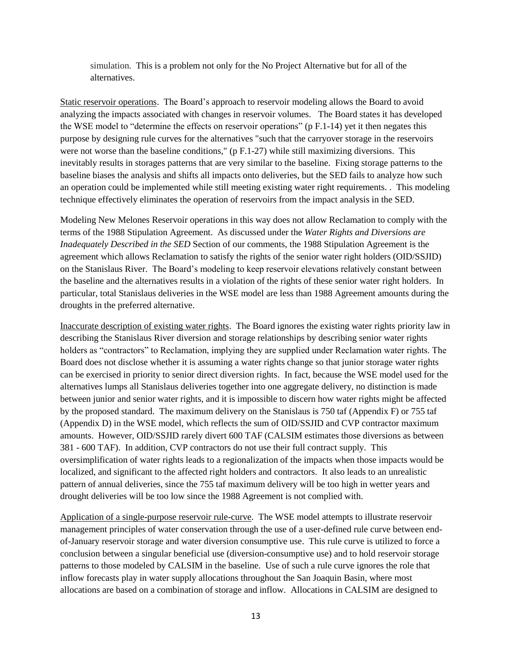simulation. This is a problem not only for the No Project Alternative but for all of the alternatives.

Static reservoir operations. The Board's approach to reservoir modeling allows the Board to avoid analyzing the impacts associated with changes in reservoir volumes. The Board states it has developed the WSE model to "determine the effects on reservoir operations" (p F.1-14) yet it then negates this purpose by designing rule curves for the alternatives "such that the carryover storage in the reservoirs were not worse than the baseline conditions," ( $p F.1-27$ ) while still maximizing diversions. This inevitably results in storages patterns that are very similar to the baseline. Fixing storage patterns to the baseline biases the analysis and shifts all impacts onto deliveries, but the SED fails to analyze how such an operation could be implemented while still meeting existing water right requirements. . This modeling technique effectively eliminates the operation of reservoirs from the impact analysis in the SED.

Modeling New Melones Reservoir operations in this way does not allow Reclamation to comply with the terms of the 1988 Stipulation Agreement. As discussed under the *Water Rights and Diversions are Inadequately Described in the SED* Section of our comments, the 1988 Stipulation Agreement is the agreement which allows Reclamation to satisfy the rights of the senior water right holders (OID/SSJID) on the Stanislaus River. The Board's modeling to keep reservoir elevations relatively constant between the baseline and the alternatives results in a violation of the rights of these senior water right holders. In particular, total Stanislaus deliveries in the WSE model are less than 1988 Agreement amounts during the droughts in the preferred alternative.

Inaccurate description of existing water rights. The Board ignores the existing water rights priority law in describing the Stanislaus River diversion and storage relationships by describing senior water rights holders as "contractors" to Reclamation, implying they are supplied under Reclamation water rights. The Board does not disclose whether it is assuming a water rights change so that junior storage water rights can be exercised in priority to senior direct diversion rights. In fact, because the WSE model used for the alternatives lumps all Stanislaus deliveries together into one aggregate delivery, no distinction is made between junior and senior water rights, and it is impossible to discern how water rights might be affected by the proposed standard. The maximum delivery on the Stanislaus is 750 taf (Appendix F) or 755 taf (Appendix D) in the WSE model, which reflects the sum of OID/SSJID and CVP contractor maximum amounts. However, OID/SSJID rarely divert 600 TAF (CALSIM estimates those diversions as between 381 - 600 TAF). In addition, CVP contractors do not use their full contract supply. This oversimplification of water rights leads to a regionalization of the impacts when those impacts would be localized, and significant to the affected right holders and contractors. It also leads to an unrealistic pattern of annual deliveries, since the 755 taf maximum delivery will be too high in wetter years and drought deliveries will be too low since the 1988 Agreement is not complied with.

Application of a single-purpose reservoir rule-curve. The WSE model attempts to illustrate reservoir management principles of water conservation through the use of a user-defined rule curve between endof-January reservoir storage and water diversion consumptive use. This rule curve is utilized to force a conclusion between a singular beneficial use (diversion-consumptive use) and to hold reservoir storage patterns to those modeled by CALSIM in the baseline. Use of such a rule curve ignores the role that inflow forecasts play in water supply allocations throughout the San Joaquin Basin, where most allocations are based on a combination of storage and inflow. Allocations in CALSIM are designed to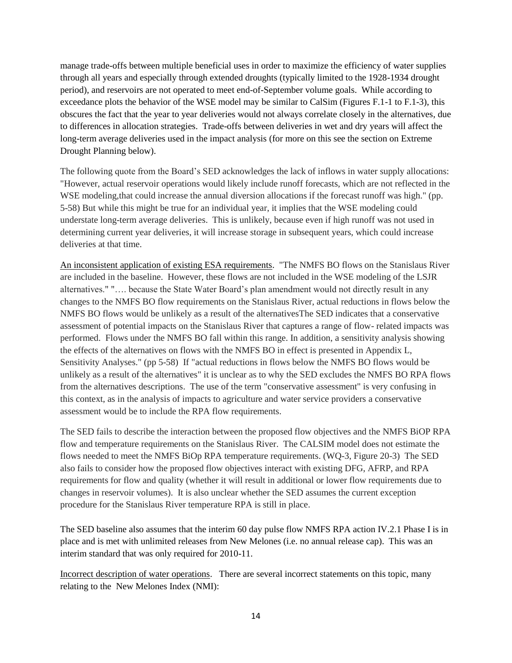manage trade-offs between multiple beneficial uses in order to maximize the efficiency of water supplies through all years and especially through extended droughts (typically limited to the 1928-1934 drought period), and reservoirs are not operated to meet end-of-September volume goals. While according to exceedance plots the behavior of the WSE model may be similar to CalSim (Figures F.1-1 to F.1-3), this obscures the fact that the year to year deliveries would not always correlate closely in the alternatives, due to differences in allocation strategies. Trade-offs between deliveries in wet and dry years will affect the long-term average deliveries used in the impact analysis (for more on this see the section on Extreme Drought Planning below).

The following quote from the Board's SED acknowledges the lack of inflows in water supply allocations: "However, actual reservoir operations would likely include runoff forecasts, which are not reflected in the WSE modeling,that could increase the annual diversion allocations if the forecast runoff was high." (pp. 5-58) But while this might be true for an individual year, it implies that the WSE modeling could understate long-term average deliveries. This is unlikely, because even if high runoff was not used in determining current year deliveries, it will increase storage in subsequent years, which could increase deliveries at that time.

An inconsistent application of existing ESA requirements. "The NMFS BO flows on the Stanislaus River are included in the baseline. However, these flows are not included in the WSE modeling of the LSJR alternatives." "…. because the State Water Board's plan amendment would not directly result in any changes to the NMFS BO flow requirements on the Stanislaus River, actual reductions in flows below the NMFS BO flows would be unlikely as a result of the alternativesThe SED indicates that a conservative assessment of potential impacts on the Stanislaus River that captures a range of flow- related impacts was performed. Flows under the NMFS BO fall within this range. In addition, a sensitivity analysis showing the effects of the alternatives on flows with the NMFS BO in effect is presented in Appendix L, Sensitivity Analyses." (pp 5-58) If "actual reductions in flows below the NMFS BO flows would be unlikely as a result of the alternatives" it is unclear as to why the SED excludes the NMFS BO RPA flows from the alternatives descriptions. The use of the term "conservative assessment" is very confusing in this context, as in the analysis of impacts to agriculture and water service providers a conservative assessment would be to include the RPA flow requirements.

The SED fails to describe the interaction between the proposed flow objectives and the NMFS BiOP RPA flow and temperature requirements on the Stanislaus River. The CALSIM model does not estimate the flows needed to meet the NMFS BiOp RPA temperature requirements. (WQ-3, Figure 20-3) The SED also fails to consider how the proposed flow objectives interact with existing DFG, AFRP, and RPA requirements for flow and quality (whether it will result in additional or lower flow requirements due to changes in reservoir volumes). It is also unclear whether the SED assumes the current exception procedure for the Stanislaus River temperature RPA is still in place.

The SED baseline also assumes that the interim 60 day pulse flow NMFS RPA action IV.2.1 Phase I is in place and is met with unlimited releases from New Melones (i.e. no annual release cap). This was an interim standard that was only required for 2010-11.

Incorrect description of water operations. There are several incorrect statements on this topic, many relating to the New Melones Index (NMI):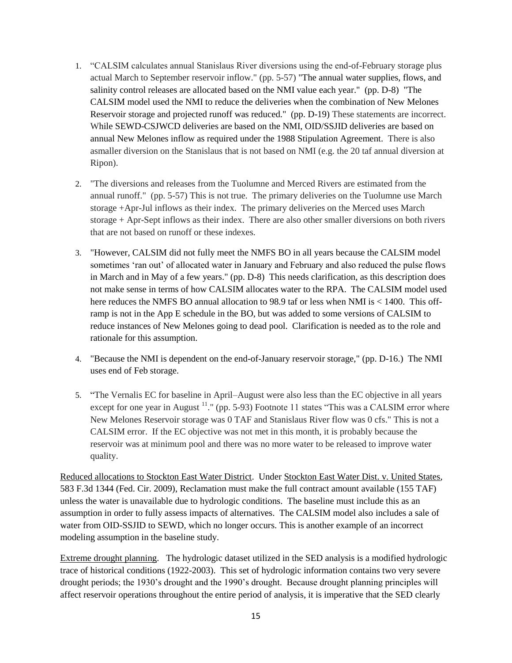- 1. "CALSIM calculates annual Stanislaus River diversions using the end-of-February storage plus actual March to September reservoir inflow." (pp. 5-57) "The annual water supplies, flows, and salinity control releases are allocated based on the NMI value each year." (pp. D-8) "The CALSIM model used the NMI to reduce the deliveries when the combination of New Melones Reservoir storage and projected runoff was reduced." (pp. D-19) These statements are incorrect. While SEWD-CSJWCD deliveries are based on the NMI, OID/SSJID deliveries are based on annual New Melones inflow as required under the 1988 Stipulation Agreement. There is also asmaller diversion on the Stanislaus that is not based on NMI (e.g. the 20 taf annual diversion at Ripon).
- 2. "The diversions and releases from the Tuolumne and Merced Rivers are estimated from the annual runoff." (pp. 5-57) This is not true. The primary deliveries on the Tuolumne use March storage +Apr-Jul inflows as their index. The primary deliveries on the Merced uses March storage + Apr-Sept inflows as their index. There are also other smaller diversions on both rivers that are not based on runoff or these indexes.
- 3. "However, CALSIM did not fully meet the NMFS BO in all years because the CALSIM model sometimes 'ran out' of allocated water in January and February and also reduced the pulse flows in March and in May of a few years." (pp. D-8) This needs clarification, as this description does not make sense in terms of how CALSIM allocates water to the RPA. The CALSIM model used here reduces the NMFS BO annual allocation to 98.9 taf or less when NMI is  $\lt$  1400. This offramp is not in the App E schedule in the BO, but was added to some versions of CALSIM to reduce instances of New Melones going to dead pool. Clarification is needed as to the role and rationale for this assumption.
- 4. "Because the NMI is dependent on the end-of-January reservoir storage," (pp. D-16.) The NMI uses end of Feb storage.
- 5. "The Vernalis EC for baseline in April–August were also less than the EC objective in all years except for one year in August  $11$ ." (pp. 5-93) Footnote 11 states "This was a CALSIM error where New Melones Reservoir storage was 0 TAF and Stanislaus River flow was 0 cfs." This is not a CALSIM error. If the EC objective was not met in this month, it is probably because the reservoir was at minimum pool and there was no more water to be released to improve water quality.

Reduced allocations to Stockton East Water District. Under [Stockton East Water Dist. v. United States,](http://www.lexis.com/research/xlink?app=00075&view=full&searchtype=le&search=583+F.3d+1344)  [583 F.3d 1344 \(Fed. Cir. 2009\),](http://www.lexis.com/research/xlink?app=00075&view=full&searchtype=le&search=583+F.3d+1344) Reclamation must make the full contract amount available (155 TAF) unless the water is unavailable due to hydrologic conditions. The baseline must include this as an assumption in order to fully assess impacts of alternatives. The CALSIM model also includes a sale of water from OID-SSJID to SEWD, which no longer occurs. This is another example of an incorrect modeling assumption in the baseline study.

Extreme drought planning. The hydrologic dataset utilized in the SED analysis is a modified hydrologic trace of historical conditions (1922-2003). This set of hydrologic information contains two very severe drought periods; the 1930's drought and the 1990's drought. Because drought planning principles will affect reservoir operations throughout the entire period of analysis, it is imperative that the SED clearly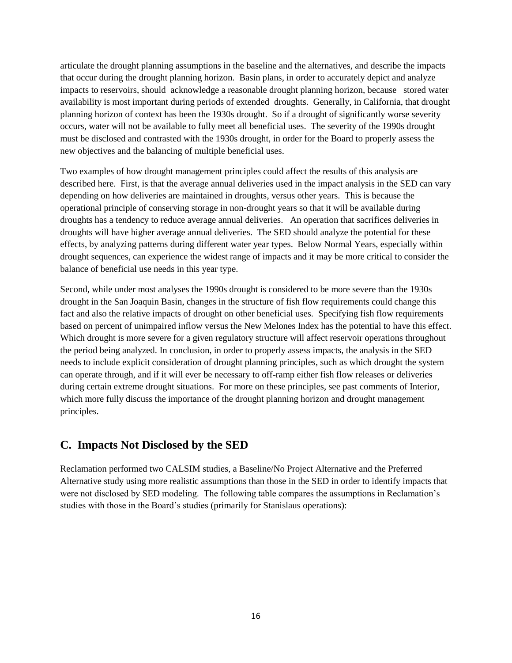articulate the drought planning assumptions in the baseline and the alternatives, and describe the impacts that occur during the drought planning horizon. Basin plans, in order to accurately depict and analyze impacts to reservoirs, should acknowledge a reasonable drought planning horizon, because stored water availability is most important during periods of extended droughts. Generally, in California, that drought planning horizon of context has been the 1930s drought. So if a drought of significantly worse severity occurs, water will not be available to fully meet all beneficial uses. The severity of the 1990s drought must be disclosed and contrasted with the 1930s drought, in order for the Board to properly assess the new objectives and the balancing of multiple beneficial uses.

Two examples of how drought management principles could affect the results of this analysis are described here. First, is that the average annual deliveries used in the impact analysis in the SED can vary depending on how deliveries are maintained in droughts, versus other years. This is because the operational principle of conserving storage in non-drought years so that it will be available during droughts has a tendency to reduce average annual deliveries. An operation that sacrifices deliveries in droughts will have higher average annual deliveries. The SED should analyze the potential for these effects, by analyzing patterns during different water year types. Below Normal Years, especially within drought sequences, can experience the widest range of impacts and it may be more critical to consider the balance of beneficial use needs in this year type.

Second, while under most analyses the 1990s drought is considered to be more severe than the 1930s drought in the San Joaquin Basin, changes in the structure of fish flow requirements could change this fact and also the relative impacts of drought on other beneficial uses. Specifying fish flow requirements based on percent of unimpaired inflow versus the New Melones Index has the potential to have this effect. Which drought is more severe for a given regulatory structure will affect reservoir operations throughout the period being analyzed. In conclusion, in order to properly assess impacts, the analysis in the SED needs to include explicit consideration of drought planning principles, such as which drought the system can operate through, and if it will ever be necessary to off-ramp either fish flow releases or deliveries during certain extreme drought situations. For more on these principles, see past comments of Interior, which more fully discuss the importance of the drought planning horizon and drought management principles.

# **C. Impacts Not Disclosed by the SED**

Reclamation performed two CALSIM studies, a Baseline/No Project Alternative and the Preferred Alternative study using more realistic assumptions than those in the SED in order to identify impacts that were not disclosed by SED modeling. The following table compares the assumptions in Reclamation's studies with those in the Board's studies (primarily for Stanislaus operations):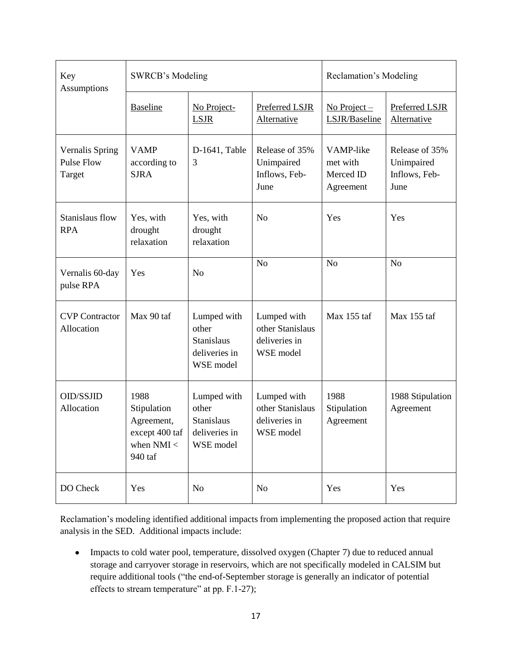| Key<br>Assumptions                                    | <b>SWRCB's Modeling</b>                                                        |                                                                         |                                                               | Reclamation's Modeling                          |                                                       |
|-------------------------------------------------------|--------------------------------------------------------------------------------|-------------------------------------------------------------------------|---------------------------------------------------------------|-------------------------------------------------|-------------------------------------------------------|
|                                                       | <b>Baseline</b>                                                                | No Project-<br><b>LSJR</b>                                              | Preferred LSJR<br>Alternative                                 | $No Project -$<br>LSJR/Baseline                 | Preferred LSJR<br>Alternative                         |
| <b>Vernalis Spring</b><br><b>Pulse Flow</b><br>Target | <b>VAMP</b><br>according to<br><b>SJRA</b>                                     | D-1641, Table<br>3                                                      | Release of 35%<br>Unimpaired<br>Inflows, Feb-<br>June         | VAMP-like<br>met with<br>Merced ID<br>Agreement | Release of 35%<br>Unimpaired<br>Inflows, Feb-<br>June |
| Stanislaus flow<br><b>RPA</b>                         | Yes, with<br>drought<br>relaxation                                             | Yes, with<br>drought<br>relaxation                                      | N <sub>o</sub>                                                | Yes                                             | Yes                                                   |
| Vernalis 60-day<br>pulse RPA                          | Yes                                                                            | N <sub>o</sub>                                                          | N <sub>o</sub>                                                | N <sub>o</sub>                                  | N <sub>o</sub>                                        |
| <b>CVP</b> Contractor<br>Allocation                   | Max 90 taf                                                                     | Lumped with<br>other<br><b>Stanislaus</b><br>deliveries in<br>WSE model | Lumped with<br>other Stanislaus<br>deliveries in<br>WSE model | Max 155 taf                                     | Max 155 taf                                           |
| <b>OID/SSJID</b><br>Allocation                        | 1988<br>Stipulation<br>Agreement,<br>except 400 taf<br>when $NMI <$<br>940 taf | Lumped with<br>other<br>Stanislaus<br>deliveries in<br>WSE model        | Lumped with<br>other Stanislaus<br>deliveries in<br>WSE model | 1988<br>Stipulation<br>Agreement                | 1988 Stipulation<br>Agreement                         |
| DO Check                                              | Yes                                                                            | N <sub>o</sub>                                                          | N <sub>o</sub>                                                | Yes                                             | Yes                                                   |

Reclamation's modeling identified additional impacts from implementing the proposed action that require analysis in the SED. Additional impacts include:

Impacts to cold water pool, temperature, dissolved oxygen (Chapter 7) due to reduced annual  $\bullet$ storage and carryover storage in reservoirs, which are not specifically modeled in CALSIM but require additional tools ("the end-of-September storage is generally an indicator of potential effects to stream temperature" at pp. F.1-27);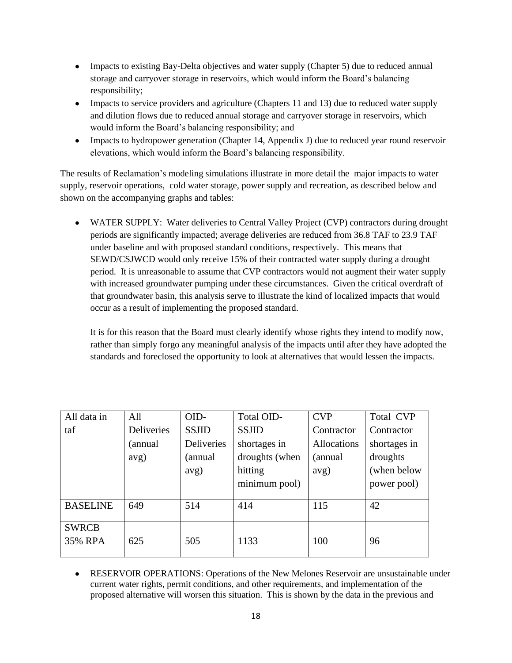- Impacts to existing Bay-Delta objectives and water supply (Chapter 5) due to reduced annual storage and carryover storage in reservoirs, which would inform the Board's balancing responsibility;
- Impacts to service providers and agriculture (Chapters 11 and 13) due to reduced water supply and dilution flows due to reduced annual storage and carryover storage in reservoirs, which would inform the Board's balancing responsibility; and
- Impacts to hydropower generation (Chapter 14, Appendix J) due to reduced year round reservoir elevations, which would inform the Board's balancing responsibility.

The results of Reclamation's modeling simulations illustrate in more detail the major impacts to water supply, reservoir operations, cold water storage, power supply and recreation, as described below and shown on the accompanying graphs and tables:

WATER SUPPLY: Water deliveries to Central Valley Project (CVP) contractors during drought periods are significantly impacted; average deliveries are reduced from 36.8 TAF to 23.9 TAF under baseline and with proposed standard conditions, respectively. This means that SEWD/CSJWCD would only receive 15% of their contracted water supply during a drought period. It is unreasonable to assume that CVP contractors would not augment their water supply with increased groundwater pumping under these circumstances. Given the critical overdraft of that groundwater basin, this analysis serve to illustrate the kind of localized impacts that would occur as a result of implementing the proposed standard.

It is for this reason that the Board must clearly identify whose rights they intend to modify now, rather than simply forgo any meaningful analysis of the impacts until after they have adopted the standards and foreclosed the opportunity to look at alternatives that would lessen the impacts.

| All data in     | All        | OID-                         | Total OID-     | <b>CVP</b>  | Total CVP    |
|-----------------|------------|------------------------------|----------------|-------------|--------------|
| taf             | Deliveries | <b>SSJID</b><br><b>SSJID</b> |                | Contractor  | Contractor   |
|                 | (annual    | Deliveries                   | shortages in   | Allocations | shortages in |
|                 | avg)       | (annual                      | droughts (when | (annual     | droughts     |
|                 |            | avg)                         | hitting        | avg)        | (when below  |
|                 |            |                              | minimum pool)  |             | power pool)  |
|                 |            |                              |                |             |              |
| <b>BASELINE</b> | 649        | 514                          | 414            | 115         | 42           |
| <b>SWRCB</b>    |            |                              |                |             |              |
| 35% RPA         | 625        | 505                          | 1133           | 100         | 96           |

RESERVOIR OPERATIONS: Operations of the New Melones Reservoir are unsustainable under current water rights, permit conditions, and other requirements, and implementation of the proposed alternative will worsen this situation. This is shown by the data in the previous and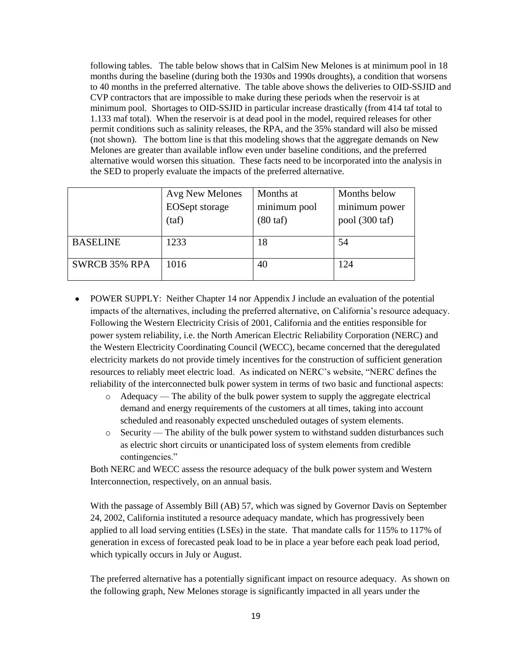following tables. The table below shows that in CalSim New Melones is at minimum pool in 18 months during the baseline (during both the 1930s and 1990s droughts), a condition that worsens to 40 months in the preferred alternative. The table above shows the deliveries to OID-SSJID and CVP contractors that are impossible to make during these periods when the reservoir is at minimum pool. Shortages to OID-SSJID in particular increase drastically (from 414 taf total to 1.133 maf total). When the reservoir is at dead pool in the model, required releases for other permit conditions such as salinity releases, the RPA, and the 35% standard will also be missed (not shown). The bottom line is that this modeling shows that the aggregate demands on New Melones are greater than available inflow even under baseline conditions, and the preferred alternative would worsen this situation. These facts need to be incorporated into the analysis in the SED to properly evaluate the impacts of the preferred alternative.

|                      | Avg New Melones       | Months at          | Months below   |
|----------------------|-----------------------|--------------------|----------------|
|                      | <b>EOSept</b> storage | minimum pool       | minimum power  |
|                      | (taf)                 | $(80 \text{ taf})$ | pool (300 taf) |
|                      |                       |                    |                |
| <b>BASELINE</b>      | 1233                  | 18                 | 54             |
| <b>SWRCB 35% RPA</b> | 1016                  | 40                 | 124            |
|                      |                       |                    |                |

- POWER SUPPLY: Neither Chapter 14 nor Appendix J include an evaluation of the potential impacts of the alternatives, including the preferred alternative, on California's resource adequacy. Following the Western Electricity Crisis of 2001, California and the entities responsible for power system reliability, i.e. the North American Electric Reliability Corporation (NERC) and the Western Electricity Coordinating Council (WECC), became concerned that the deregulated electricity markets do not provide timely incentives for the construction of sufficient generation resources to reliably meet electric load. As indicated on NERC's website, "NERC defines the reliability of the interconnected bulk power system in terms of two basic and functional aspects:
	- o Adequacy The ability of the bulk power system to supply the aggregate electrical demand and energy requirements of the customers at all times, taking into account scheduled and reasonably expected unscheduled outages of system elements.
	- o Security The ability of the bulk power system to withstand sudden disturbances such as electric short circuits or unanticipated loss of system elements from credible contingencies."

Both NERC and WECC assess the resource adequacy of the bulk power system and Western Interconnection, respectively, on an annual basis.

With the passage of Assembly Bill (AB) 57, which was signed by Governor Davis on September 24, 2002, California instituted a resource adequacy mandate, which has progressively been applied to all load serving entities (LSEs) in the state. That mandate calls for 115% to 117% of generation in excess of forecasted peak load to be in place a year before each peak load period, which typically occurs in July or August.

The preferred alternative has a potentially significant impact on resource adequacy. As shown on the following graph, New Melones storage is significantly impacted in all years under the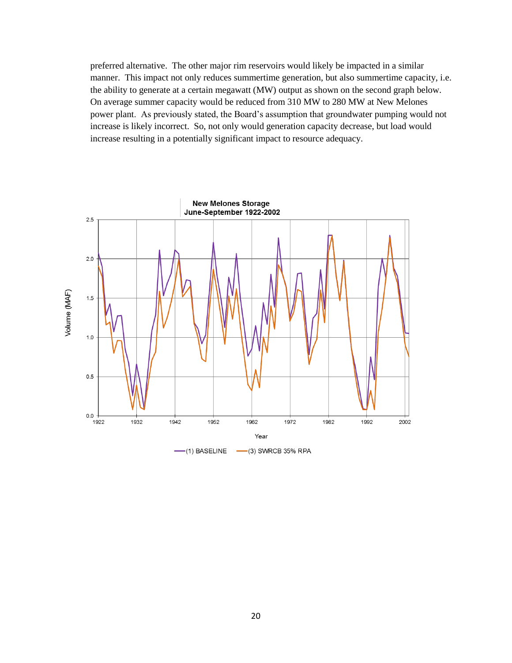preferred alternative. The other major rim reservoirs would likely be impacted in a similar manner. This impact not only reduces summertime generation, but also summertime capacity, i.e. the ability to generate at a certain megawatt (MW) output as shown on the second graph below. On average summer capacity would be reduced from 310 MW to 280 MW at New Melones power plant. As previously stated, the Board's assumption that groundwater pumping would not increase is likely incorrect. So, not only would generation capacity decrease, but load would increase resulting in a potentially significant impact to resource adequacy.

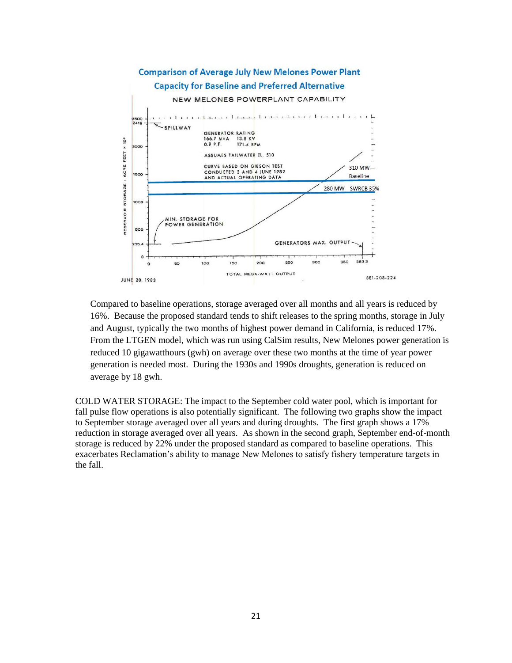

Compared to baseline operations, storage averaged over all months and all years is reduced by 16%. Because the proposed standard tends to shift releases to the spring months, storage in July and August, typically the two months of highest power demand in California, is reduced 17%. From the LTGEN model, which was run using CalSim results, New Melones power generation is reduced 10 gigawatthours (gwh) on average over these two months at the time of year power generation is needed most. During the 1930s and 1990s droughts, generation is reduced on average by 18 gwh.

COLD WATER STORAGE: The impact to the September cold water pool, which is important for fall pulse flow operations is also potentially significant. The following two graphs show the impact to September storage averaged over all years and during droughts. The first graph shows a 17% reduction in storage averaged over all years. As shown in the second graph, September end-of-month storage is reduced by 22% under the proposed standard as compared to baseline operations. This exacerbates Reclamation's ability to manage New Melones to satisfy fishery temperature targets in the fall.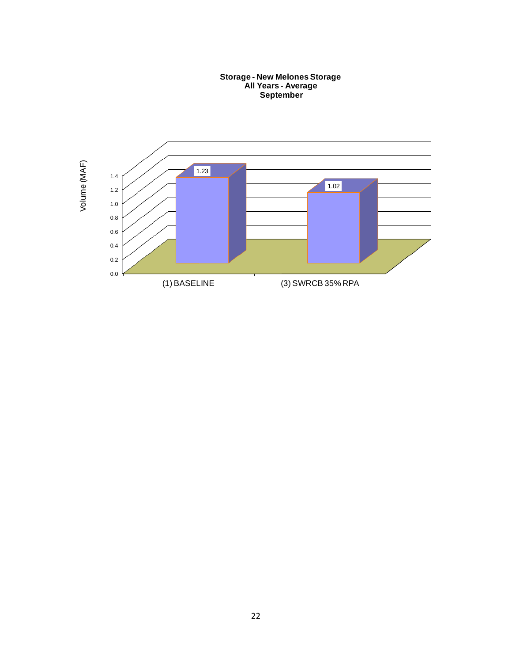**Storage - New Melones Storage All Years - Average September**

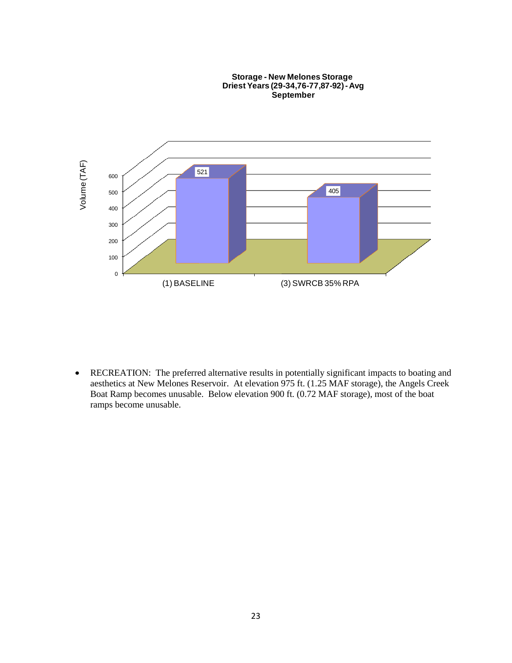

RECREATION: The preferred alternative results in potentially significant impacts to boating and  $\bullet$ aesthetics at New Melones Reservoir. At elevation 975 ft. (1.25 MAF storage), the Angels Creek Boat Ramp becomes unusable. Below elevation 900 ft. (0.72 MAF storage), most of the boat ramps become unusable.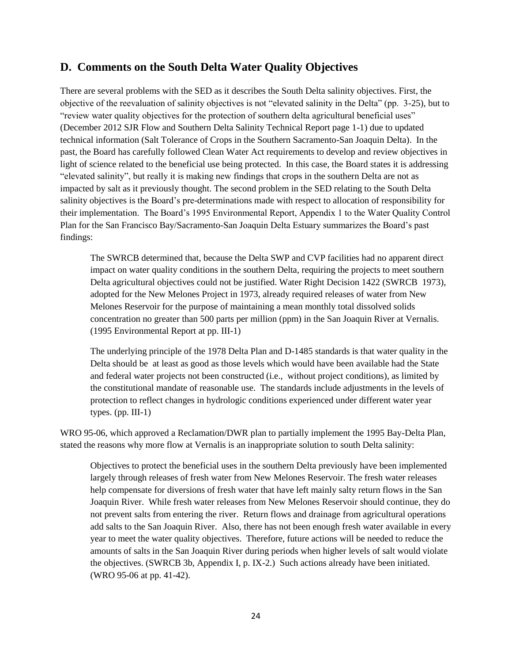### **D. Comments on the South Delta Water Quality Objectives**

There are several problems with the SED as it describes the South Delta salinity objectives. First, the objective of the reevaluation of salinity objectives is not "elevated salinity in the Delta" (pp. 3-25), but to "review water quality objectives for the protection of southern delta agricultural beneficial uses" (December 2012 SJR Flow and Southern Delta Salinity Technical Report page 1-1) due to updated technical information (Salt Tolerance of Crops in the Southern Sacramento-San Joaquin Delta). In the past, the Board has carefully followed Clean Water Act requirements to develop and review objectives in light of science related to the beneficial use being protected. In this case, the Board states it is addressing "elevated salinity", but really it is making new findings that crops in the southern Delta are not as impacted by salt as it previously thought. The second problem in the SED relating to the South Delta salinity objectives is the Board's pre-determinations made with respect to allocation of responsibility for their implementation. The Board's 1995 Environmental Report, Appendix 1 to the Water Quality Control Plan for the San Francisco Bay/Sacramento-San Joaquin Delta Estuary summarizes the Board's past findings:

The SWRCB determined that, because the Delta SWP and CVP facilities had no apparent direct impact on water quality conditions in the southern Delta, requiring the projects to meet southern Delta agricultural objectives could not be justified. Water Right Decision 1422 (SWRCB 1973), adopted for the New Melones Project in 1973, already required releases of water from New Melones Reservoir for the purpose of maintaining a mean monthly total dissolved solids concentration no greater than 500 parts per million (ppm) in the San Joaquin River at Vernalis. (1995 Environmental Report at pp. III-1)

The underlying principle of the 1978 Delta Plan and D-1485 standards is that water quality in the Delta should be at least as good as those levels which would have been available had the State and federal water projects not been constructed (i.e., without project conditions), as limited by the constitutional mandate of reasonable use. The standards include adjustments in the levels of protection to reflect changes in hydrologic conditions experienced under different water year types.  $(pp. III-1)$ 

WRO 95-06, which approved a Reclamation/DWR plan to partially implement the 1995 Bay-Delta Plan, stated the reasons why more flow at Vernalis is an inappropriate solution to south Delta salinity:

Objectives to protect the beneficial uses in the southern Delta previously have been implemented largely through releases of fresh water from New Melones Reservoir. The fresh water releases help compensate for diversions of fresh water that have left mainly salty return flows in the San Joaquin River. While fresh water releases from New Melones Reservoir should continue, they do not prevent salts from entering the river. Return flows and drainage from agricultural operations add salts to the San Joaquin River. Also, there has not been enough fresh water available in every year to meet the water quality objectives. Therefore, future actions will be needed to reduce the amounts of salts in the San Joaquin River during periods when higher levels of salt would violate the objectives. (SWRCB 3b, Appendix I, p. IX-2.) Such actions already have been initiated. (WRO 95-06 at pp. 41-42).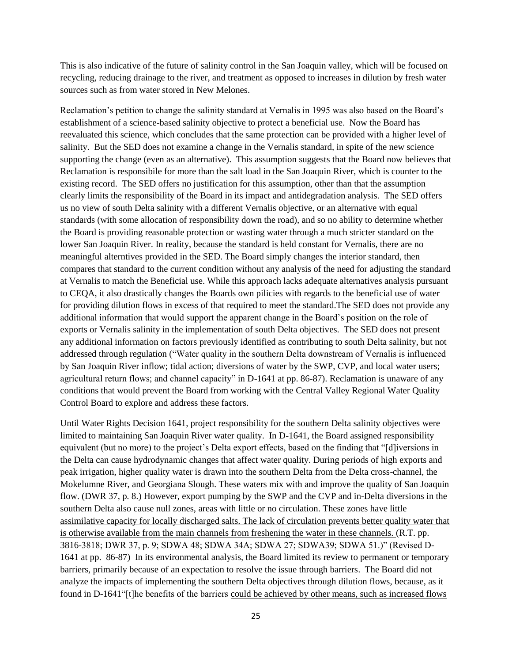This is also indicative of the future of salinity control in the San Joaquin valley, which will be focused on recycling, reducing drainage to the river, and treatment as opposed to increases in dilution by fresh water sources such as from water stored in New Melones.

Reclamation's petition to change the salinity standard at Vernalis in 1995 was also based on the Board's establishment of a science-based salinity objective to protect a beneficial use. Now the Board has reevaluated this science, which concludes that the same protection can be provided with a higher level of salinity. But the SED does not examine a change in the Vernalis standard, in spite of the new science supporting the change (even as an alternative). This assumption suggests that the Board now believes that Reclamation is responsibile for more than the salt load in the San Joaquin River, which is counter to the existing record. The SED offers no justification for this assumption, other than that the assumption clearly limits the responsibility of the Board in its impact and antidegradation analysis. The SED offers us no view of south Delta salinity with a different Vernalis objective, or an alternative with equal standards (with some allocation of responsibility down the road), and so no ability to determine whether the Board is providing reasonable protection or wasting water through a much stricter standard on the lower San Joaquin River. In reality, because the standard is held constant for Vernalis, there are no meaningful alterntives provided in the SED. The Board simply changes the interior standard, then compares that standard to the current condition without any analysis of the need for adjusting the standard at Vernalis to match the Beneficial use. While this approach lacks adequate alternatives analysis pursuant to CEQA, it also drastically changes the Boards own pilicies with regards to the beneficial use of water for providing dilution flows in excess of that required to meet the standard.The SED does not provide any additional information that would support the apparent change in the Board's position on the role of exports or Vernalis salinity in the implementation of south Delta objectives. The SED does not present any additional information on factors previously identified as contributing to south Delta salinity, but not addressed through regulation ("Water quality in the southern Delta downstream of Vernalis is influenced by San Joaquin River inflow; tidal action; diversions of water by the SWP, CVP, and local water users; agricultural return flows; and channel capacity" in D-1641 at pp. 86-87). Reclamation is unaware of any conditions that would prevent the Board from working with the Central Valley Regional Water Quality Control Board to explore and address these factors.

Until Water Rights Decision 1641, project responsibility for the southern Delta salinity objectives were limited to maintaining San Joaquin River water quality. In D-1641, the Board assigned responsibility equivalent (but no more) to the project's Delta export effects, based on the finding that "[d]iversions in the Delta can cause hydrodynamic changes that affect water quality. During periods of high exports and peak irrigation, higher quality water is drawn into the southern Delta from the Delta cross-channel, the Mokelumne River, and Georgiana Slough. These waters mix with and improve the quality of San Joaquin flow. (DWR 37, p. 8.) However, export pumping by the SWP and the CVP and in-Delta diversions in the southern Delta also cause null zones, areas with little or no circulation. These zones have little assimilative capacity for locally discharged salts. The lack of circulation prevents better quality water that is otherwise available from the main channels from freshening the water in these channels. (R.T. pp. 3816-3818; DWR 37, p. 9; SDWA 48; SDWA 34A; SDWA 27; SDWA39; SDWA 51.)" (Revised D-1641 at pp. 86-87) In its environmental analysis, the Board limited its review to permanent or temporary barriers, primarily because of an expectation to resolve the issue through barriers. The Board did not analyze the impacts of implementing the southern Delta objectives through dilution flows, because, as it found in D-1641"[t]he benefits of the barriers could be achieved by other means, such as increased flows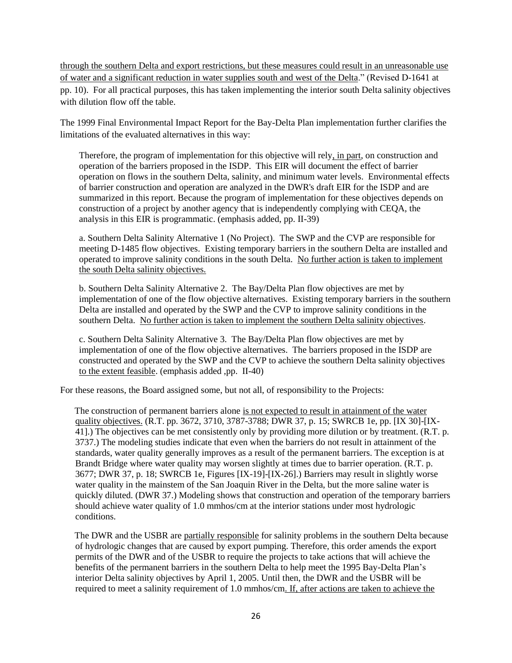through the southern Delta and export restrictions, but these measures could result in an unreasonable use of water and a significant reduction in water supplies south and west of the Delta." (Revised D-1641 at pp. 10). For all practical purposes, this has taken implementing the interior south Delta salinity objectives with dilution flow off the table.

The 1999 Final Environmental Impact Report for the Bay-Delta Plan implementation further clarifies the limitations of the evaluated alternatives in this way:

Therefore, the program of implementation for this objective will rely, in part, on construction and operation of the barriers proposed in the ISDP. This EIR will document the effect of barrier operation on flows in the southern Delta, salinity, and minimum water levels. Environmental effects of barrier construction and operation are analyzed in the DWR's draft EIR for the ISDP and are summarized in this report. Because the program of implementation for these objectives depends on construction of a project by another agency that is independently complying with CEQA, the analysis in this EIR is programmatic. (emphasis added, pp. II-39)

a. Southern Delta Salinity Alternative 1 (No Project). The SWP and the CVP are responsible for meeting D-1485 flow objectives. Existing temporary barriers in the southern Delta are installed and operated to improve salinity conditions in the south Delta. No further action is taken to implement the south Delta salinity objectives.

b. Southern Delta Salinity Alternative 2. The Bay/Delta Plan flow objectives are met by implementation of one of the flow objective alternatives. Existing temporary barriers in the southern Delta are installed and operated by the SWP and the CVP to improve salinity conditions in the southern Delta. No further action is taken to implement the southern Delta salinity objectives.

c. Southern Delta Salinity Alternative 3. The Bay/Delta Plan flow objectives are met by implementation of one of the flow objective alternatives. The barriers proposed in the ISDP are constructed and operated by the SWP and the CVP to achieve the southern Delta salinity objectives to the extent feasible. (emphasis added ,pp. II-40)

For these reasons, the Board assigned some, but not all, of responsibility to the Projects:

The construction of permanent barriers alone is not expected to result in attainment of the water quality objectives. (R.T. pp. 3672, 3710, 3787-3788; DWR 37, p. 15; SWRCB 1e, pp. [IX 30]-[IX-41].) The objectives can be met consistently only by providing more dilution or by treatment. (R.T. p. 3737.) The modeling studies indicate that even when the barriers do not result in attainment of the standards, water quality generally improves as a result of the permanent barriers. The exception is at Brandt Bridge where water quality may worsen slightly at times due to barrier operation. (R.T. p. 3677; DWR 37, p. 18; SWRCB 1e, Figures [IX-19]-[IX-26].) Barriers may result in slightly worse water quality in the mainstem of the San Joaquin River in the Delta, but the more saline water is quickly diluted. (DWR 37.) Modeling shows that construction and operation of the temporary barriers should achieve water quality of 1.0 mmhos/cm at the interior stations under most hydrologic conditions.

The DWR and the USBR are partially responsible for salinity problems in the southern Delta because of hydrologic changes that are caused by export pumping. Therefore, this order amends the export permits of the DWR and of the USBR to require the projects to take actions that will achieve the benefits of the permanent barriers in the southern Delta to help meet the 1995 Bay-Delta Plan's interior Delta salinity objectives by April 1, 2005. Until then, the DWR and the USBR will be required to meet a salinity requirement of 1.0 mmhos/cm. If, after actions are taken to achieve the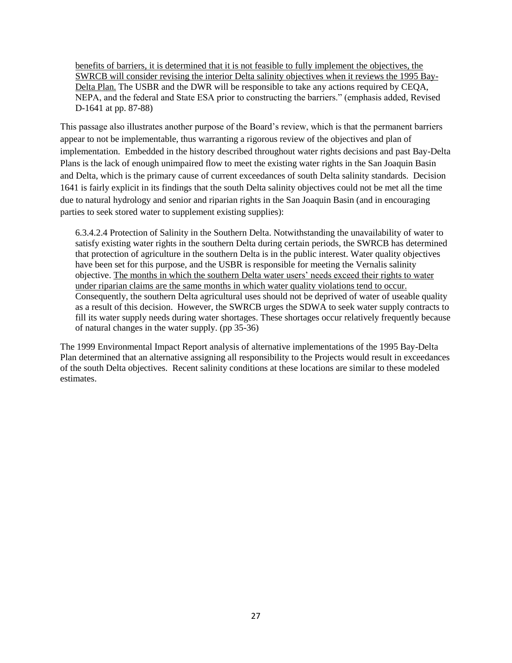benefits of barriers, it is determined that it is not feasible to fully implement the objectives, the SWRCB will consider revising the interior Delta salinity objectives when it reviews the 1995 Bay-Delta Plan. The USBR and the DWR will be responsible to take any actions required by CEQA, NEPA, and the federal and State ESA prior to constructing the barriers." (emphasis added, Revised D-1641 at pp. 87-88)

This passage also illustrates another purpose of the Board's review, which is that the permanent barriers appear to not be implementable, thus warranting a rigorous review of the objectives and plan of implementation. Embedded in the history described throughout water rights decisions and past Bay-Delta Plans is the lack of enough unimpaired flow to meet the existing water rights in the San Joaquin Basin and Delta, which is the primary cause of current exceedances of south Delta salinity standards. Decision 1641 is fairly explicit in its findings that the south Delta salinity objectives could not be met all the time due to natural hydrology and senior and riparian rights in the San Joaquin Basin (and in encouraging parties to seek stored water to supplement existing supplies):

6.3.4.2.4 Protection of Salinity in the Southern Delta. Notwithstanding the unavailability of water to satisfy existing water rights in the southern Delta during certain periods, the SWRCB has determined that protection of agriculture in the southern Delta is in the public interest. Water quality objectives have been set for this purpose, and the USBR is responsible for meeting the Vernalis salinity objective. The months in which the southern Delta water users' needs exceed their rights to water under riparian claims are the same months in which water quality violations tend to occur. Consequently, the southern Delta agricultural uses should not be deprived of water of useable quality as a result of this decision. However, the SWRCB urges the SDWA to seek water supply contracts to fill its water supply needs during water shortages. These shortages occur relatively frequently because of natural changes in the water supply. (pp 35-36)

The 1999 Environmental Impact Report analysis of alternative implementations of the 1995 Bay-Delta Plan determined that an alternative assigning all responsibility to the Projects would result in exceedances of the south Delta objectives. Recent salinity conditions at these locations are similar to these modeled estimates.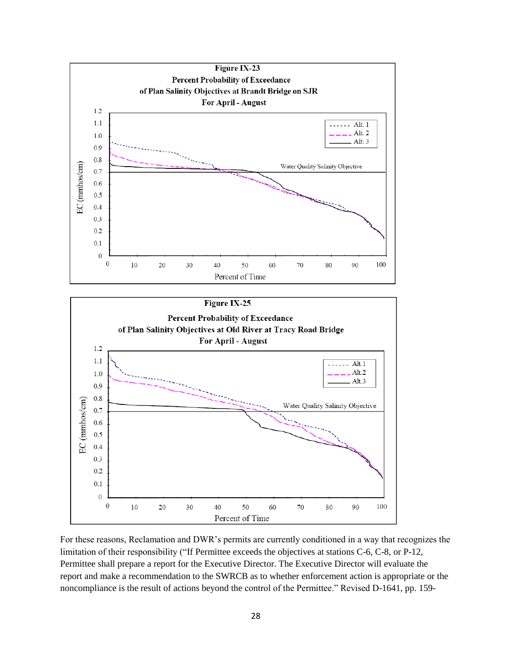

For these reasons, Reclamation and DWR's permits are currently conditioned in a way that recognizes the limitation of their responsibility ("If Permittee exceeds the objectives at stations C-6, C-8, or P-12, Permittee shall prepare a report for the Executive Director. The Executive Director will evaluate the report and make a recommendation to the SWRCB as to whether enforcement action is appropriate or the noncompliance is the result of actions beyond the control of the Permittee." Revised D-1641, pp. 159-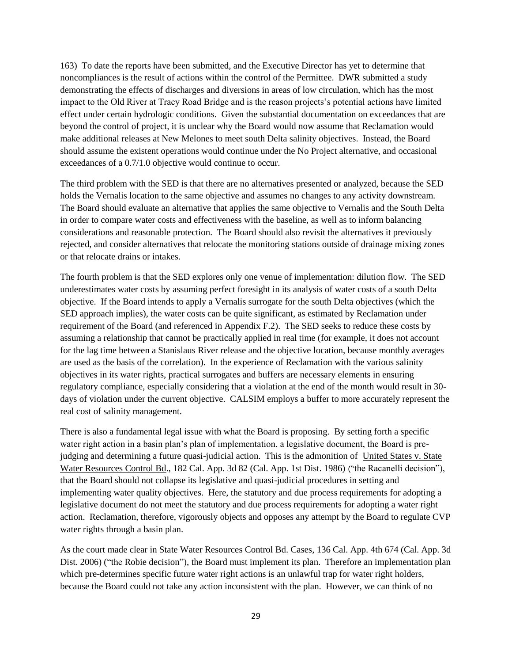163) To date the reports have been submitted, and the Executive Director has yet to determine that noncompliances is the result of actions within the control of the Permittee. DWR submitted a study demonstrating the effects of discharges and diversions in areas of low circulation, which has the most impact to the Old River at Tracy Road Bridge and is the reason projects's potential actions have limited effect under certain hydrologic conditions. Given the substantial documentation on exceedances that are beyond the control of project, it is unclear why the Board would now assume that Reclamation would make additional releases at New Melones to meet south Delta salinity objectives. Instead, the Board should assume the existent operations would continue under the No Project alternative, and occasional exceedances of a 0.7/1.0 objective would continue to occur.

The third problem with the SED is that there are no alternatives presented or analyzed, because the SED holds the Vernalis location to the same objective and assumes no changes to any activity downstream. The Board should evaluate an alternative that applies the same objective to Vernalis and the South Delta in order to compare water costs and effectiveness with the baseline, as well as to inform balancing considerations and reasonable protection. The Board should also revisit the alternatives it previously rejected, and consider alternatives that relocate the monitoring stations outside of drainage mixing zones or that relocate drains or intakes.

The fourth problem is that the SED explores only one venue of implementation: dilution flow. The SED underestimates water costs by assuming perfect foresight in its analysis of water costs of a south Delta objective. If the Board intends to apply a Vernalis surrogate for the south Delta objectives (which the SED approach implies), the water costs can be quite significant, as estimated by Reclamation under requirement of the Board (and referenced in Appendix F.2). The SED seeks to reduce these costs by assuming a relationship that cannot be practically applied in real time (for example, it does not account for the lag time between a Stanislaus River release and the objective location, because monthly averages are used as the basis of the correlation). In the experience of Reclamation with the various salinity objectives in its water rights, practical surrogates and buffers are necessary elements in ensuring regulatory compliance, especially considering that a violation at the end of the month would result in 30 days of violation under the current objective. CALSIM employs a buffer to more accurately represent the real cost of salinity management.

There is also a fundamental legal issue with what the Board is proposing. By setting forth a specific water right action in a basin plan's plan of implementation, a legislative document, the Board is prejudging and determining a future quasi-judicial action. This is the admonition of United States v. State [Water Resources Control Bd., 182 Cal. App. 3d 82 \(Cal. App. 1st Dist. 1986\)](http://www.lexis.com/research/xlink?app=00075&view=full&searchtype=get&search=182+Cal.+App.+3d+82) ("the Racanelli decision"), that the Board should not collapse its legislative and quasi-judicial procedures in setting and implementing water quality objectives. Here, the statutory and due process requirements for adopting a legislative document do not meet the statutory and due process requirements for adopting a water right action. Reclamation, therefore, vigorously objects and opposes any attempt by the Board to regulate CVP water rights through a basin plan.

As the court made clear in [State Water Resources Control Bd. Cases, 136 Cal. App. 4th 674 \(Cal. App. 3d](http://www.lexis.com/research/xlink?app=00075&view=full&searchtype=get&search=136+Cal.+App.+4th+674)  [Dist. 2006\)](http://www.lexis.com/research/xlink?app=00075&view=full&searchtype=get&search=136+Cal.+App.+4th+674) ("the Robie decision"), the Board must implement its plan. Therefore an implementation plan which pre-determines specific future water right actions is an unlawful trap for water right holders, because the Board could not take any action inconsistent with the plan. However, we can think of no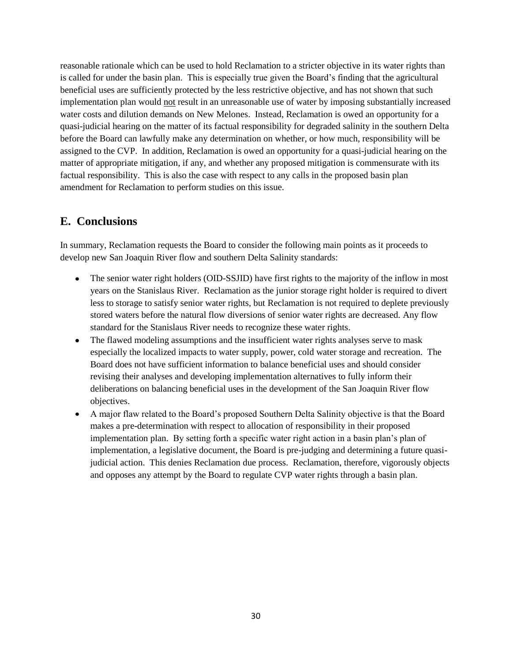reasonable rationale which can be used to hold Reclamation to a stricter objective in its water rights than is called for under the basin plan. This is especially true given the Board's finding that the agricultural beneficial uses are sufficiently protected by the less restrictive objective, and has not shown that such implementation plan would not result in an unreasonable use of water by imposing substantially increased water costs and dilution demands on New Melones. Instead, Reclamation is owed an opportunity for a quasi-judicial hearing on the matter of its factual responsibility for degraded salinity in the southern Delta before the Board can lawfully make any determination on whether, or how much, responsibility will be assigned to the CVP. In addition, Reclamation is owed an opportunity for a quasi-judicial hearing on the matter of appropriate mitigation, if any, and whether any proposed mitigation is commensurate with its factual responsibility. This is also the case with respect to any calls in the proposed basin plan amendment for Reclamation to perform studies on this issue.

## **E. Conclusions**

In summary, Reclamation requests the Board to consider the following main points as it proceeds to develop new San Joaquin River flow and southern Delta Salinity standards:

- The senior water right holders (OID-SSJID) have first rights to the majority of the inflow in most years on the Stanislaus River. Reclamation as the junior storage right holder is required to divert less to storage to satisfy senior water rights, but Reclamation is not required to deplete previously stored waters before the natural flow diversions of senior water rights are decreased. Any flow standard for the Stanislaus River needs to recognize these water rights.
- The flawed modeling assumptions and the insufficient water rights analyses serve to mask especially the localized impacts to water supply, power, cold water storage and recreation. The Board does not have sufficient information to balance beneficial uses and should consider revising their analyses and developing implementation alternatives to fully inform their deliberations on balancing beneficial uses in the development of the San Joaquin River flow objectives.
- A major flaw related to the Board's proposed Southern Delta Salinity objective is that the Board makes a pre-determination with respect to allocation of responsibility in their proposed implementation plan. By setting forth a specific water right action in a basin plan's plan of implementation, a legislative document, the Board is pre-judging and determining a future quasijudicial action. This denies Reclamation due process. Reclamation, therefore, vigorously objects and opposes any attempt by the Board to regulate CVP water rights through a basin plan.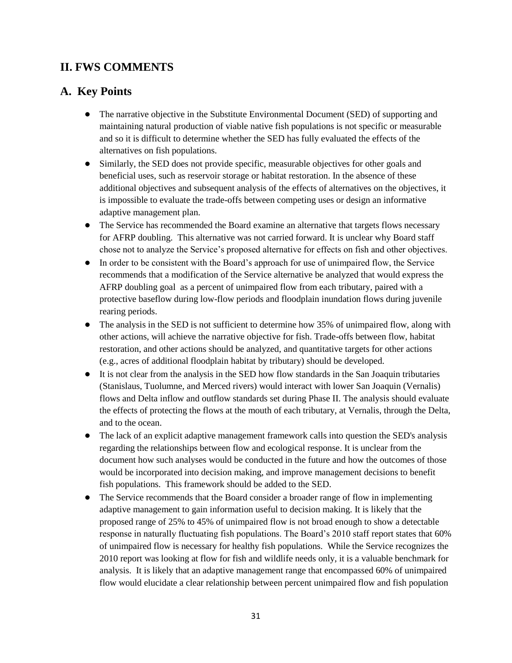# **II. FWS COMMENTS**

## **A. Key Points**

- The narrative objective in the Substitute Environmental Document (SED) of supporting and maintaining natural production of viable native fish populations is not specific or measurable and so it is difficult to determine whether the SED has fully evaluated the effects of the alternatives on fish populations.
- Similarly, the SED does not provide specific, measurable objectives for other goals and beneficial uses, such as reservoir storage or habitat restoration. In the absence of these additional objectives and subsequent analysis of the effects of alternatives on the objectives, it is impossible to evaluate the trade-offs between competing uses or design an informative adaptive management plan.
- The Service has recommended the Board examine an alternative that targets flows necessary for AFRP doubling. This alternative was not carried forward. It is unclear why Board staff chose not to analyze the Service's proposed alternative for effects on fish and other objectives.
- In order to be consistent with the Board's approach for use of unimpaired flow, the Service recommends that a modification of the Service alternative be analyzed that would express the AFRP doubling goal as a percent of unimpaired flow from each tributary, paired with a protective baseflow during low-flow periods and floodplain inundation flows during juvenile rearing periods.
- The analysis in the SED is not sufficient to determine how 35% of unimpaired flow, along with other actions, will achieve the narrative objective for fish. Trade-offs between flow, habitat restoration, and other actions should be analyzed, and quantitative targets for other actions (e.g., acres of additional floodplain habitat by tributary) should be developed.
- It is not clear from the analysis in the SED how flow standards in the San Joaquin tributaries (Stanislaus, Tuolumne, and Merced rivers) would interact with lower San Joaquin (Vernalis) flows and Delta inflow and outflow standards set during Phase II. The analysis should evaluate the effects of protecting the flows at the mouth of each tributary, at Vernalis, through the Delta, and to the ocean.
- The lack of an explicit adaptive management framework calls into question the SED's analysis regarding the relationships between flow and ecological response. It is unclear from the document how such analyses would be conducted in the future and how the outcomes of those would be incorporated into decision making, and improve management decisions to benefit fish populations. This framework should be added to the SED.
- The Service recommends that the Board consider a broader range of flow in implementing adaptive management to gain information useful to decision making. It is likely that the proposed range of 25% to 45% of unimpaired flow is not broad enough to show a detectable response in naturally fluctuating fish populations. The Board's 2010 staff report states that 60% of unimpaired flow is necessary for healthy fish populations. While the Service recognizes the 2010 report was looking at flow for fish and wildlife needs only, it is a valuable benchmark for analysis. It is likely that an adaptive management range that encompassed 60% of unimpaired flow would elucidate a clear relationship between percent unimpaired flow and fish population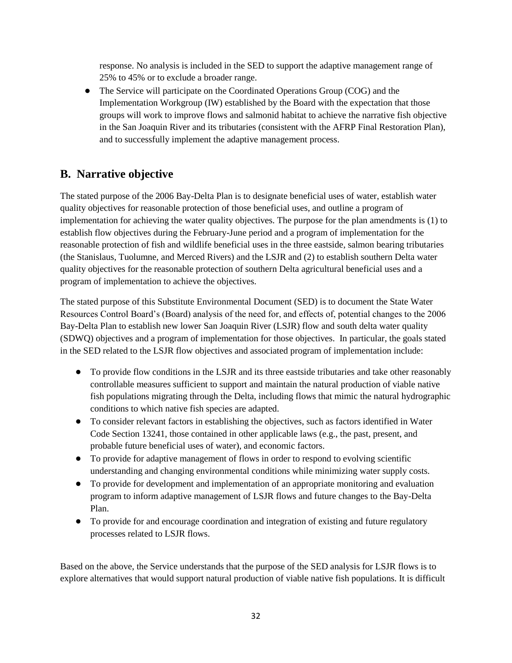response. No analysis is included in the SED to support the adaptive management range of 25% to 45% or to exclude a broader range.

• The Service will participate on the Coordinated Operations Group (COG) and the Implementation Workgroup (IW) established by the Board with the expectation that those groups will work to improve flows and salmonid habitat to achieve the narrative fish objective in the San Joaquin River and its tributaries (consistent with the AFRP Final Restoration Plan), and to successfully implement the adaptive management process.

# **B. Narrative objective**

The stated purpose of the 2006 Bay-Delta Plan is to designate beneficial uses of water, establish water quality objectives for reasonable protection of those beneficial uses, and outline a program of implementation for achieving the water quality objectives. The purpose for the plan amendments is (1) to establish flow objectives during the February-June period and a program of implementation for the reasonable protection of fish and wildlife beneficial uses in the three eastside, salmon bearing tributaries (the Stanislaus, Tuolumne, and Merced Rivers) and the LSJR and (2) to establish southern Delta water quality objectives for the reasonable protection of southern Delta agricultural beneficial uses and a program of implementation to achieve the objectives.

The stated purpose of this Substitute Environmental Document (SED) is to document the State Water Resources Control Board's (Board) analysis of the need for, and effects of, potential changes to the 2006 Bay-Delta Plan to establish new lower San Joaquin River (LSJR) flow and south delta water quality (SDWQ) objectives and a program of implementation for those objectives. In particular, the goals stated in the SED related to the LSJR flow objectives and associated program of implementation include:

- To provide flow conditions in the LSJR and its three eastside tributaries and take other reasonably controllable measures sufficient to support and maintain the natural production of viable native fish populations migrating through the Delta, including flows that mimic the natural hydrographic conditions to which native fish species are adapted.
- To consider relevant factors in establishing the objectives, such as factors identified in Water Code Section 13241, those contained in other applicable laws (e.g., the past, present, and probable future beneficial uses of water), and economic factors.
- To provide for adaptive management of flows in order to respond to evolving scientific understanding and changing environmental conditions while minimizing water supply costs.
- To provide for development and implementation of an appropriate monitoring and evaluation program to inform adaptive management of LSJR flows and future changes to the Bay-Delta Plan.
- To provide for and encourage coordination and integration of existing and future regulatory processes related to LSJR flows.

Based on the above, the Service understands that the purpose of the SED analysis for LSJR flows is to explore alternatives that would support natural production of viable native fish populations. It is difficult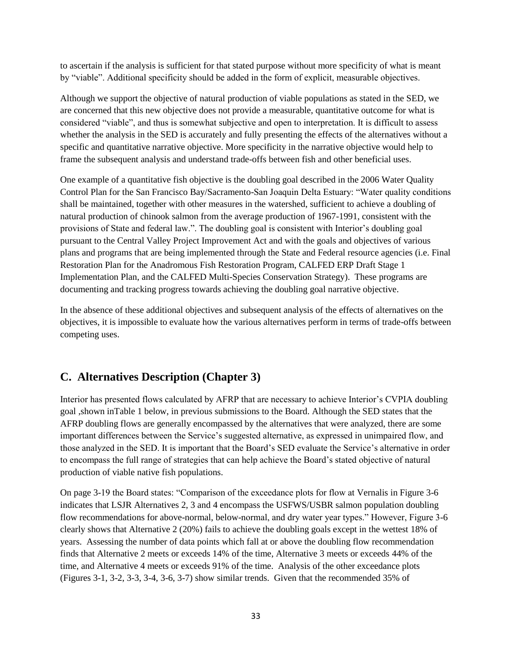to ascertain if the analysis is sufficient for that stated purpose without more specificity of what is meant by "viable". Additional specificity should be added in the form of explicit, measurable objectives.

Although we support the objective of natural production of viable populations as stated in the SED, we are concerned that this new objective does not provide a measurable, quantitative outcome for what is considered "viable", and thus is somewhat subjective and open to interpretation. It is difficult to assess whether the analysis in the SED is accurately and fully presenting the effects of the alternatives without a specific and quantitative narrative objective. More specificity in the narrative objective would help to frame the subsequent analysis and understand trade-offs between fish and other beneficial uses.

One example of a quantitative fish objective is the doubling goal described in the 2006 Water Quality Control Plan for the San Francisco Bay/Sacramento-San Joaquin Delta Estuary: "Water quality conditions shall be maintained, together with other measures in the watershed, sufficient to achieve a doubling of natural production of chinook salmon from the average production of 1967-1991, consistent with the provisions of State and federal law.". The doubling goal is consistent with Interior's doubling goal pursuant to the Central Valley Project Improvement Act and with the goals and objectives of various plans and programs that are being implemented through the State and Federal resource agencies (i.e. Final Restoration Plan for the Anadromous Fish Restoration Program, CALFED ERP Draft Stage 1 Implementation Plan, and the CALFED Multi-Species Conservation Strategy). These programs are documenting and tracking progress towards achieving the doubling goal narrative objective.

In the absence of these additional objectives and subsequent analysis of the effects of alternatives on the objectives, it is impossible to evaluate how the various alternatives perform in terms of trade-offs between competing uses.

# **C. Alternatives Description (Chapter 3)**

Interior has presented flows calculated by AFRP that are necessary to achieve Interior's CVPIA doubling goal ,shown inTable 1 below, in previous submissions to the Board. Although the SED states that the AFRP doubling flows are generally encompassed by the alternatives that were analyzed, there are some important differences between the Service's suggested alternative, as expressed in unimpaired flow, and those analyzed in the SED. It is important that the Board's SED evaluate the Service's alternative in order to encompass the full range of strategies that can help achieve the Board's stated objective of natural production of viable native fish populations.

On page 3-19 the Board states: "Comparison of the exceedance plots for flow at Vernalis in Figure 3-6 indicates that LSJR Alternatives 2, 3 and 4 encompass the USFWS/USBR salmon population doubling flow recommendations for above-normal, below-normal, and dry water year types." However, Figure 3-6 clearly shows that Alternative 2 (20%) fails to achieve the doubling goals except in the wettest 18% of years. Assessing the number of data points which fall at or above the doubling flow recommendation finds that Alternative 2 meets or exceeds 14% of the time, Alternative 3 meets or exceeds 44% of the time, and Alternative 4 meets or exceeds 91% of the time. Analysis of the other exceedance plots (Figures 3-1, 3-2, 3-3, 3-4, 3-6, 3-7) show similar trends. Given that the recommended 35% of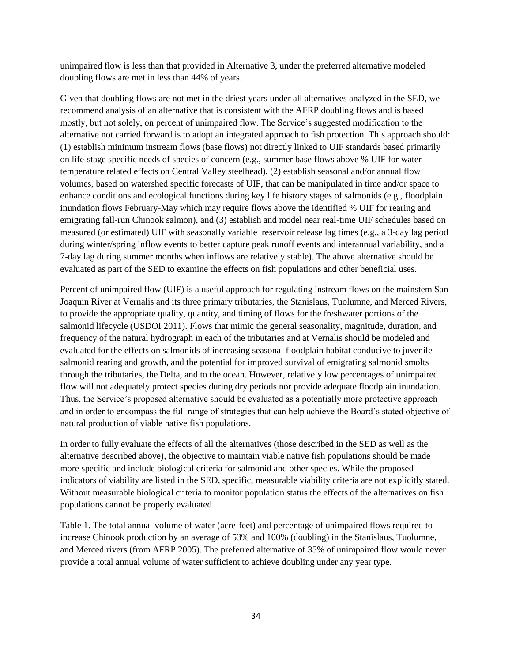unimpaired flow is less than that provided in Alternative 3, under the preferred alternative modeled doubling flows are met in less than 44% of years.

Given that doubling flows are not met in the driest years under all alternatives analyzed in the SED, we recommend analysis of an alternative that is consistent with the AFRP doubling flows and is based mostly, but not solely, on percent of unimpaired flow. The Service's suggested modification to the alternative not carried forward is to adopt an integrated approach to fish protection. This approach should: (1) establish minimum instream flows (base flows) not directly linked to UIF standards based primarily on life-stage specific needs of species of concern (e.g., summer base flows above % UIF for water temperature related effects on Central Valley steelhead), (2) establish seasonal and/or annual flow volumes, based on watershed specific forecasts of UIF, that can be manipulated in time and/or space to enhance conditions and ecological functions during key life history stages of salmonids (e.g., floodplain inundation flows February-May which may require flows above the identified % UIF for rearing and emigrating fall-run Chinook salmon), and (3) establish and model near real-time UIF schedules based on measured (or estimated) UIF with seasonally variable reservoir release lag times (e.g., a 3-day lag period during winter/spring inflow events to better capture peak runoff events and interannual variability, and a 7-day lag during summer months when inflows are relatively stable). The above alternative should be evaluated as part of the SED to examine the effects on fish populations and other beneficial uses.

Percent of unimpaired flow (UIF) is a useful approach for regulating instream flows on the mainstem San Joaquin River at Vernalis and its three primary tributaries, the Stanislaus, Tuolumne, and Merced Rivers, to provide the appropriate quality, quantity, and timing of flows for the freshwater portions of the salmonid lifecycle (USDOI 2011). Flows that mimic the general seasonality, magnitude, duration, and frequency of the natural hydrograph in each of the tributaries and at Vernalis should be modeled and evaluated for the effects on salmonids of increasing seasonal floodplain habitat conducive to juvenile salmonid rearing and growth, and the potential for improved survival of emigrating salmonid smolts through the tributaries, the Delta, and to the ocean. However, relatively low percentages of unimpaired flow will not adequately protect species during dry periods nor provide adequate floodplain inundation. Thus, the Service's proposed alternative should be evaluated as a potentially more protective approach and in order to encompass the full range of strategies that can help achieve the Board's stated objective of natural production of viable native fish populations.

In order to fully evaluate the effects of all the alternatives (those described in the SED as well as the alternative described above), the objective to maintain viable native fish populations should be made more specific and include biological criteria for salmonid and other species. While the proposed indicators of viability are listed in the SED, specific, measurable viability criteria are not explicitly stated. Without measurable biological criteria to monitor population status the effects of the alternatives on fish populations cannot be properly evaluated.

Table 1. The total annual volume of water (acre-feet) and percentage of unimpaired flows required to increase Chinook production by an average of 53% and 100% (doubling) in the Stanislaus, Tuolumne, and Merced rivers (from AFRP 2005). The preferred alternative of 35% of unimpaired flow would never provide a total annual volume of water sufficient to achieve doubling under any year type.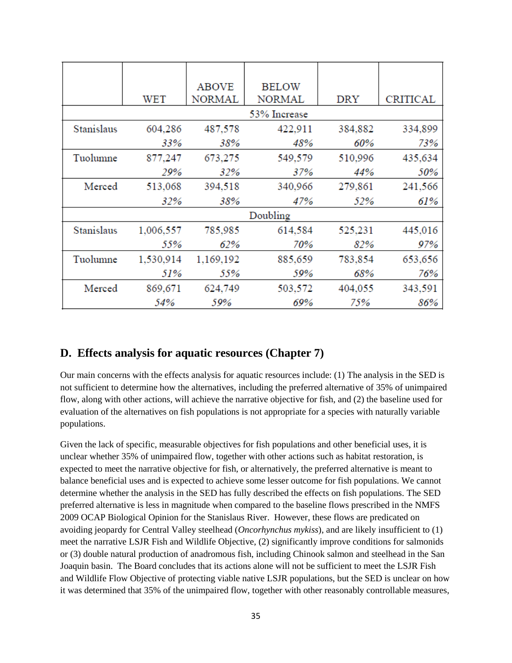|            | WET          | <b>ABOVE</b><br><b>NORMAL</b> | <b>BELOW</b><br><b>NORMAL</b> | <b>DRY</b> | <b>CRITICAL</b> |
|------------|--------------|-------------------------------|-------------------------------|------------|-----------------|
|            | 53% Increase |                               |                               |            |                 |
| Stanislaus | 604,286      | 487,578                       | 422,911                       | 384,882    | 334,899         |
|            | 33%          | 38%                           | 48%                           | 60%        | 73%             |
| Tuolumne   | 877,247      | 673,275                       | 549,579                       | 510,996    | 435,634         |
|            | 29%          | 32%                           | 37%                           | 44%        | 50%             |
| Merced     | 513,068      | 394,518                       | 340,966                       | 279,861    | 241,566         |
|            | 32%          | 38%                           | 47%                           | 52%        | 61%             |
| Doubling   |              |                               |                               |            |                 |
| Stanislaus | 1,006,557    | 785,985                       | 614,584                       | 525,231    | 445,016         |
|            | 55%          | 62%                           | 70%                           | 82%        | 97%             |
| Tuolumne   | 1,530,914    | 1,169,192                     | 885,659                       | 783,854    | 653,656         |
|            | 51%          | 55%                           | 59%                           | 68%        | 76%             |
| Merced     | 869,671      | 624,749                       | 503,572                       | 404,055    | 343,591         |
|            | 54%          | 59%                           | 69%                           | 75%        | 86%             |

#### **D. Effects analysis for aquatic resources (Chapter 7)**

Our main concerns with the effects analysis for aquatic resources include: (1) The analysis in the SED is not sufficient to determine how the alternatives, including the preferred alternative of 35% of unimpaired flow, along with other actions, will achieve the narrative objective for fish, and (2) the baseline used for evaluation of the alternatives on fish populations is not appropriate for a species with naturally variable populations.

Given the lack of specific, measurable objectives for fish populations and other beneficial uses, it is unclear whether 35% of unimpaired flow, together with other actions such as habitat restoration, is expected to meet the narrative objective for fish, or alternatively, the preferred alternative is meant to balance beneficial uses and is expected to achieve some lesser outcome for fish populations. We cannot determine whether the analysis in the SED has fully described the effects on fish populations. The SED preferred alternative is less in magnitude when compared to the baseline flows prescribed in the NMFS 2009 OCAP Biological Opinion for the Stanislaus River. However, these flows are predicated on avoiding jeopardy for Central Valley steelhead (*Oncorhynchus mykiss*), and are likely insufficient to (1) meet the narrative LSJR Fish and Wildlife Objective, (2) significantly improve conditions for salmonids or (3) double natural production of anadromous fish, including Chinook salmon and steelhead in the San Joaquin basin. The Board concludes that its actions alone will not be sufficient to meet the LSJR Fish and Wildlife Flow Objective of protecting viable native LSJR populations, but the SED is unclear on how it was determined that 35% of the unimpaired flow, together with other reasonably controllable measures,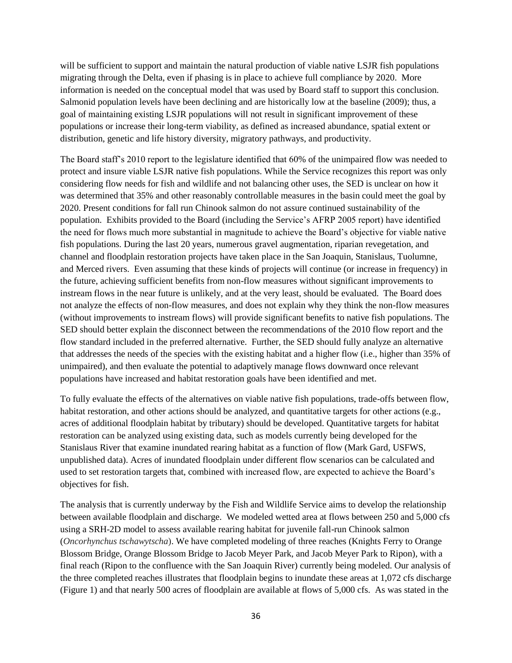will be sufficient to support and maintain the natural production of viable native LSJR fish populations migrating through the Delta, even if phasing is in place to achieve full compliance by 2020. More information is needed on the conceptual model that was used by Board staff to support this conclusion. Salmonid population levels have been declining and are historically low at the baseline (2009); thus, a goal of maintaining existing LSJR populations will not result in significant improvement of these populations or increase their long-term viability, as defined as increased abundance, spatial extent or distribution, genetic and life history diversity, migratory pathways, and productivity.

The Board staff's 2010 report to the legislature identified that 60% of the unimpaired flow was needed to protect and insure viable LSJR native fish populations. While the Service recognizes this report was only considering flow needs for fish and wildlife and not balancing other uses, the SED is unclear on how it was determined that 35% and other reasonably controllable measures in the basin could meet the goal by 2020. Present conditions for fall run Chinook salmon do not assure continued sustainability of the population. Exhibits provided to the Board (including the Service's AFRP 2005 report) have identified the need for flows much more substantial in magnitude to achieve the Board's objective for viable native fish populations. During the last 20 years, numerous gravel augmentation, riparian revegetation, and channel and floodplain restoration projects have taken place in the San Joaquin, Stanislaus, Tuolumne, and Merced rivers. Even assuming that these kinds of projects will continue (or increase in frequency) in the future, achieving sufficient benefits from non-flow measures without significant improvements to instream flows in the near future is unlikely, and at the very least, should be evaluated. The Board does not analyze the effects of non-flow measures, and does not explain why they think the non-flow measures (without improvements to instream flows) will provide significant benefits to native fish populations. The SED should better explain the disconnect between the recommendations of the 2010 flow report and the flow standard included in the preferred alternative. Further, the SED should fully analyze an alternative that addresses the needs of the species with the existing habitat and a higher flow (i.e., higher than 35% of unimpaired), and then evaluate the potential to adaptively manage flows downward once relevant populations have increased and habitat restoration goals have been identified and met.

To fully evaluate the effects of the alternatives on viable native fish populations, trade-offs between flow, habitat restoration, and other actions should be analyzed, and quantitative targets for other actions (e.g., acres of additional floodplain habitat by tributary) should be developed. Quantitative targets for habitat restoration can be analyzed using existing data, such as models currently being developed for the Stanislaus River that examine inundated rearing habitat as a function of flow (Mark Gard, USFWS, unpublished data). Acres of inundated floodplain under different flow scenarios can be calculated and used to set restoration targets that, combined with increased flow, are expected to achieve the Board's objectives for fish.

The analysis that is currently underway by the Fish and Wildlife Service aims to develop the relationship between available floodplain and discharge. We modeled wetted area at flows between 250 and 5,000 cfs using a SRH-2D model to assess available rearing habitat for juvenile fall-run Chinook salmon (*Oncorhynchus tschawytscha*). We have completed modeling of three reaches (Knights Ferry to Orange Blossom Bridge, Orange Blossom Bridge to Jacob Meyer Park, and Jacob Meyer Park to Ripon), with a final reach (Ripon to the confluence with the San Joaquin River) currently being modeled. Our analysis of the three completed reaches illustrates that floodplain begins to inundate these areas at 1,072 cfs discharge (Figure 1) and that nearly 500 acres of floodplain are available at flows of 5,000 cfs. As was stated in the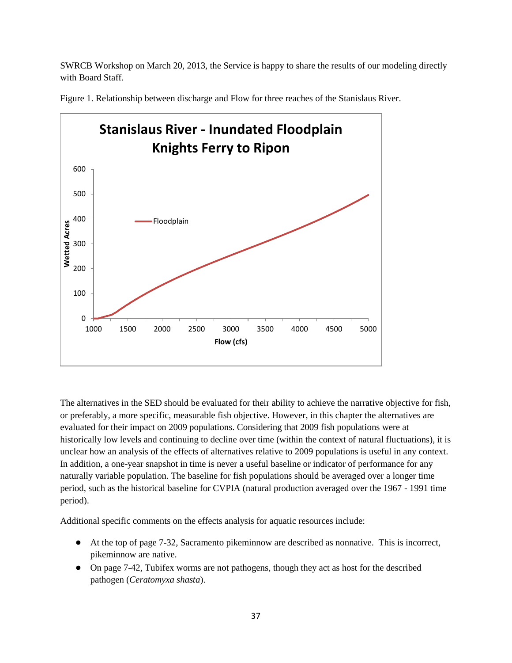SWRCB Workshop on March 20, 2013, the Service is happy to share the results of our modeling directly with Board Staff.



Figure 1. Relationship between discharge and Flow for three reaches of the Stanislaus River.

The alternatives in the SED should be evaluated for their ability to achieve the narrative objective for fish, or preferably, a more specific, measurable fish objective. However, in this chapter the alternatives are evaluated for their impact on 2009 populations. Considering that 2009 fish populations were at historically low levels and continuing to decline over time (within the context of natural fluctuations), it is unclear how an analysis of the effects of alternatives relative to 2009 populations is useful in any context. In addition, a one-year snapshot in time is never a useful baseline or indicator of performance for any naturally variable population. The baseline for fish populations should be averaged over a longer time period, such as the historical baseline for CVPIA (natural production averaged over the 1967 - 1991 time period).

Additional specific comments on the effects analysis for aquatic resources include:

- At the top of page 7-32, Sacramento pikeminnow are described as nonnative. This is incorrect, pikeminnow are native.
- On page 7-42, Tubifex worms are not pathogens, though they act as host for the described pathogen (*Ceratomyxa shasta*).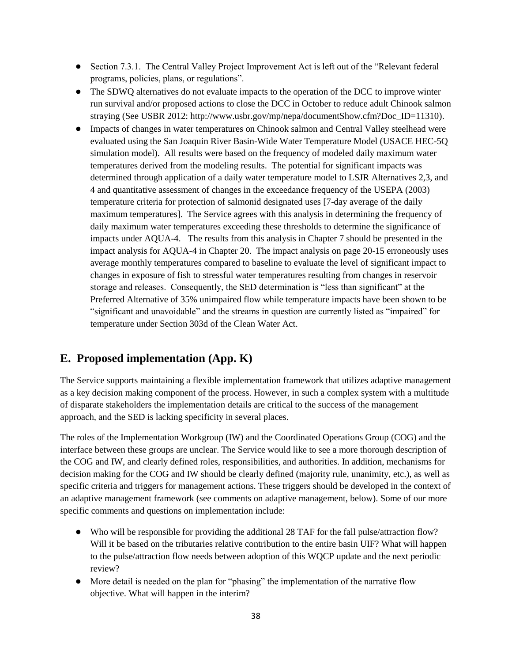- Section 7.3.1. The Central Valley Project Improvement Act is left out of the "Relevant federal" programs, policies, plans, or regulations".
- The SDWQ alternatives do not evaluate impacts to the operation of the DCC to improve winter run survival and/or proposed actions to close the DCC in October to reduce adult Chinook salmon straying (See USBR 2012: [http://www.usbr.gov/mp/nepa/documentShow.cfm?Doc\\_ID=11310\)](http://www.usbr.gov/mp/nepa/documentShow.cfm?Doc_ID=11310).
- Impacts of changes in water temperatures on Chinook salmon and Central Valley steelhead were evaluated using the San Joaquin River Basin-Wide Water Temperature Model (USACE HEC-5Q simulation model). All results were based on the frequency of modeled daily maximum water temperatures derived from the modeling results. The potential for significant impacts was determined through application of a daily water temperature model to LSJR Alternatives 2,3, and 4 and quantitative assessment of changes in the exceedance frequency of the USEPA (2003) temperature criteria for protection of salmonid designated uses [7-day average of the daily maximum temperatures]. The Service agrees with this analysis in determining the frequency of daily maximum water temperatures exceeding these thresholds to determine the significance of impacts under AQUA-4. The results from this analysis in Chapter 7 should be presented in the impact analysis for AQUA-4 in Chapter 20. The impact analysis on page 20-15 erroneously uses average monthly temperatures compared to baseline to evaluate the level of significant impact to changes in exposure of fish to stressful water temperatures resulting from changes in reservoir storage and releases. Consequently, the SED determination is "less than significant" at the Preferred Alternative of 35% unimpaired flow while temperature impacts have been shown to be "significant and unavoidable" and the streams in question are currently listed as "impaired" for temperature under Section 303d of the Clean Water Act.

# **E. Proposed implementation (App. K)**

The Service supports maintaining a flexible implementation framework that utilizes adaptive management as a key decision making component of the process. However, in such a complex system with a multitude of disparate stakeholders the implementation details are critical to the success of the management approach, and the SED is lacking specificity in several places.

The roles of the Implementation Workgroup (IW) and the Coordinated Operations Group (COG) and the interface between these groups are unclear. The Service would like to see a more thorough description of the COG and IW, and clearly defined roles, responsibilities, and authorities. In addition, mechanisms for decision making for the COG and IW should be clearly defined (majority rule, unanimity, etc.), as well as specific criteria and triggers for management actions. These triggers should be developed in the context of an adaptive management framework (see comments on adaptive management, below). Some of our more specific comments and questions on implementation include:

- Who will be responsible for providing the additional 28 TAF for the fall pulse/attraction flow? Will it be based on the tributaries relative contribution to the entire basin UIF? What will happen to the pulse/attraction flow needs between adoption of this WQCP update and the next periodic review?
- More detail is needed on the plan for "phasing" the implementation of the narrative flow objective. What will happen in the interim?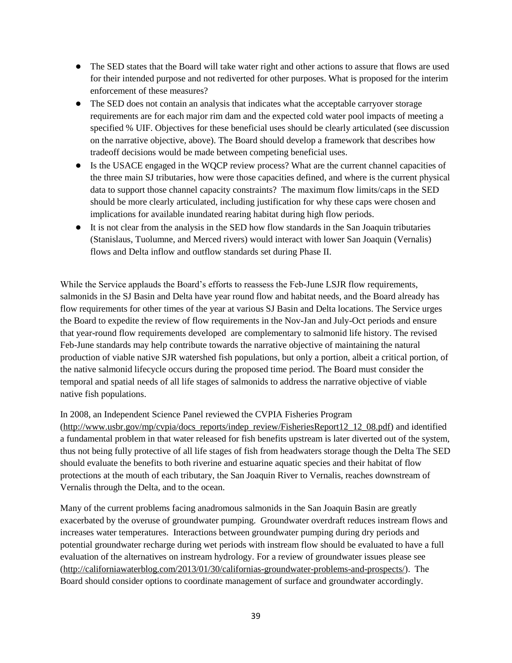- The SED states that the Board will take water right and other actions to assure that flows are used for their intended purpose and not rediverted for other purposes. What is proposed for the interim enforcement of these measures?
- The SED does not contain an analysis that indicates what the acceptable carryover storage requirements are for each major rim dam and the expected cold water pool impacts of meeting a specified % UIF. Objectives for these beneficial uses should be clearly articulated (see discussion on the narrative objective, above). The Board should develop a framework that describes how tradeoff decisions would be made between competing beneficial uses.
- Is the USACE engaged in the WQCP review process? What are the current channel capacities of the three main SJ tributaries, how were those capacities defined, and where is the current physical data to support those channel capacity constraints? The maximum flow limits/caps in the SED should be more clearly articulated, including justification for why these caps were chosen and implications for available inundated rearing habitat during high flow periods.
- It is not clear from the analysis in the SED how flow standards in the San Joaquin tributaries (Stanislaus, Tuolumne, and Merced rivers) would interact with lower San Joaquin (Vernalis) flows and Delta inflow and outflow standards set during Phase II.

While the Service applauds the Board's efforts to reassess the Feb-June LSJR flow requirements, salmonids in the SJ Basin and Delta have year round flow and habitat needs, and the Board already has flow requirements for other times of the year at various SJ Basin and Delta locations. The Service urges the Board to expedite the review of flow requirements in the Nov-Jan and July-Oct periods and ensure that year-round flow requirements developed are complementary to salmonid life history. The revised Feb-June standards may help contribute towards the narrative objective of maintaining the natural production of viable native SJR watershed fish populations, but only a portion, albeit a critical portion, of the native salmonid lifecycle occurs during the proposed time period. The Board must consider the temporal and spatial needs of all life stages of salmonids to address the narrative objective of viable native fish populations.

#### In 2008, an Independent Science Panel reviewed the CVPIA Fisheries Program

[\(http://www.usbr.gov/mp/cvpia/docs\\_reports/indep\\_review/FisheriesReport12\\_12\\_08.pdf\)](http://www.usbr.gov/mp/cvpia/docs_reports/indep_review/FisheriesReport12_12_08.pdf) and identified a fundamental problem in that water released for fish benefits upstream is later diverted out of the system, thus not being fully protective of all life stages of fish from headwaters storage though the Delta The SED should evaluate the benefits to both riverine and estuarine aquatic species and their habitat of flow protections at the mouth of each tributary, the San Joaquin River to Vernalis, reaches downstream of Vernalis through the Delta, and to the ocean.

Many of the current problems facing anadromous salmonids in the San Joaquin Basin are greatly exacerbated by the overuse of groundwater pumping. Groundwater overdraft reduces instream flows and increases water temperatures. Interactions between groundwater pumping during dry periods and potential groundwater recharge during wet periods with instream flow should be evaluated to have a full evaluation of the alternatives on instream hydrology. For a review of groundwater issues please see [\(http://californiawaterblog.com/2013/01/30/californias-groundwater-problems-and-prospects/\)](http://californiawaterblog.com/2013/01/30/californias-groundwater-problems-and-prospects/). The Board should consider options to coordinate management of surface and groundwater accordingly.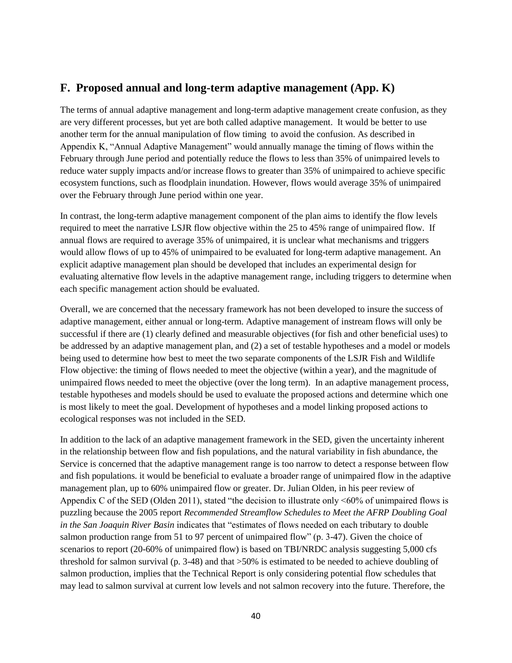## **F. Proposed annual and long-term adaptive management (App. K)**

The terms of annual adaptive management and long-term adaptive management create confusion, as they are very different processes, but yet are both called adaptive management. It would be better to use another term for the annual manipulation of flow timing to avoid the confusion. As described in Appendix K, "Annual Adaptive Management" would annually manage the timing of flows within the February through June period and potentially reduce the flows to less than 35% of unimpaired levels to reduce water supply impacts and/or increase flows to greater than 35% of unimpaired to achieve specific ecosystem functions, such as floodplain inundation. However, flows would average 35% of unimpaired over the February through June period within one year.

In contrast, the long-term adaptive management component of the plan aims to identify the flow levels required to meet the narrative LSJR flow objective within the 25 to 45% range of unimpaired flow. If annual flows are required to average 35% of unimpaired, it is unclear what mechanisms and triggers would allow flows of up to 45% of unimpaired to be evaluated for long-term adaptive management. An explicit adaptive management plan should be developed that includes an experimental design for evaluating alternative flow levels in the adaptive management range, including triggers to determine when each specific management action should be evaluated.

Overall, we are concerned that the necessary framework has not been developed to insure the success of adaptive management, either annual or long-term. Adaptive management of instream flows will only be successful if there are (1) clearly defined and measurable objectives (for fish and other beneficial uses) to be addressed by an adaptive management plan, and (2) a set of testable hypotheses and a model or models being used to determine how best to meet the two separate components of the LSJR Fish and Wildlife Flow objective: the timing of flows needed to meet the objective (within a year), and the magnitude of unimpaired flows needed to meet the objective (over the long term). In an adaptive management process, testable hypotheses and models should be used to evaluate the proposed actions and determine which one is most likely to meet the goal. Development of hypotheses and a model linking proposed actions to ecological responses was not included in the SED.

In addition to the lack of an adaptive management framework in the SED, given the uncertainty inherent in the relationship between flow and fish populations, and the natural variability in fish abundance, the Service is concerned that the adaptive management range is too narrow to detect a response between flow and fish populations. it would be beneficial to evaluate a broader range of unimpaired flow in the adaptive management plan, up to 60% unimpaired flow or greater. Dr. Julian Olden, in his peer review of Appendix C of the SED (Olden 2011), stated "the decision to illustrate only <60% of unimpaired flows is puzzling because the 2005 report *Recommended Streamflow Schedules to Meet the AFRP Doubling Goal in the San Joaquin River Basin* indicates that "estimates of flows needed on each tributary to double salmon production range from 51 to 97 percent of unimpaired flow" (p. 3-47). Given the choice of scenarios to report (20-60% of unimpaired flow) is based on TBI/NRDC analysis suggesting 5,000 cfs threshold for salmon survival (p. 3-48) and that >50% is estimated to be needed to achieve doubling of salmon production, implies that the Technical Report is only considering potential flow schedules that may lead to salmon survival at current low levels and not salmon recovery into the future. Therefore, the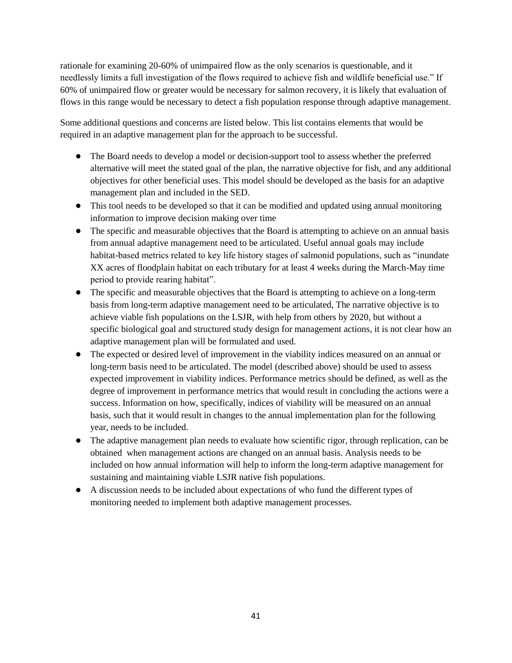rationale for examining 20-60% of unimpaired flow as the only scenarios is questionable, and it needlessly limits a full investigation of the flows required to achieve fish and wildlife beneficial use." If 60% of unimpaired flow or greater would be necessary for salmon recovery, it is likely that evaluation of flows in this range would be necessary to detect a fish population response through adaptive management.

Some additional questions and concerns are listed below. This list contains elements that would be required in an adaptive management plan for the approach to be successful.

- The Board needs to develop a model or decision-support tool to assess whether the preferred alternative will meet the stated goal of the plan, the narrative objective for fish, and any additional objectives for other beneficial uses. This model should be developed as the basis for an adaptive management plan and included in the SED.
- This tool needs to be developed so that it can be modified and updated using annual monitoring information to improve decision making over time
- The specific and measurable objectives that the Board is attempting to achieve on an annual basis from annual adaptive management need to be articulated. Useful annual goals may include habitat-based metrics related to key life history stages of salmonid populations, such as "inundate XX acres of floodplain habitat on each tributary for at least 4 weeks during the March-May time period to provide rearing habitat".
- The specific and measurable objectives that the Board is attempting to achieve on a long-term basis from long-term adaptive management need to be articulated, The narrative objective is to achieve viable fish populations on the LSJR, with help from others by 2020, but without a specific biological goal and structured study design for management actions, it is not clear how an adaptive management plan will be formulated and used.
- The expected or desired level of improvement in the viability indices measured on an annual or long-term basis need to be articulated. The model (described above) should be used to assess expected improvement in viability indices. Performance metrics should be defined, as well as the degree of improvement in performance metrics that would result in concluding the actions were a success. Information on how, specifically, indices of viability will be measured on an annual basis, such that it would result in changes to the annual implementation plan for the following year, needs to be included.
- The adaptive management plan needs to evaluate how scientific rigor, through replication, can be obtained when management actions are changed on an annual basis. Analysis needs to be included on how annual information will help to inform the long-term adaptive management for sustaining and maintaining viable LSJR native fish populations.
- A discussion needs to be included about expectations of who fund the different types of monitoring needed to implement both adaptive management processes.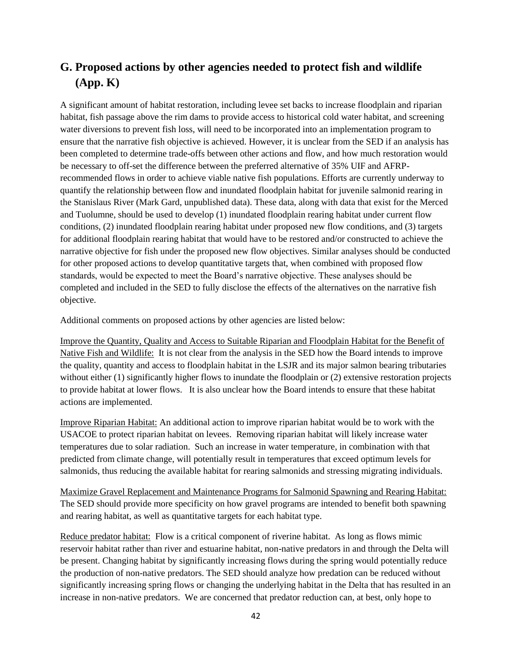# **G. Proposed actions by other agencies needed to protect fish and wildlife (App. K)**

A significant amount of habitat restoration, including levee set backs to increase floodplain and riparian habitat, fish passage above the rim dams to provide access to historical cold water habitat, and screening water diversions to prevent fish loss, will need to be incorporated into an implementation program to ensure that the narrative fish objective is achieved. However, it is unclear from the SED if an analysis has been completed to determine trade-offs between other actions and flow, and how much restoration would be necessary to off-set the difference between the preferred alternative of 35% UIF and AFRPrecommended flows in order to achieve viable native fish populations. Efforts are currently underway to quantify the relationship between flow and inundated floodplain habitat for juvenile salmonid rearing in the Stanislaus River (Mark Gard, unpublished data). These data, along with data that exist for the Merced and Tuolumne, should be used to develop (1) inundated floodplain rearing habitat under current flow conditions, (2) inundated floodplain rearing habitat under proposed new flow conditions, and (3) targets for additional floodplain rearing habitat that would have to be restored and/or constructed to achieve the narrative objective for fish under the proposed new flow objectives. Similar analyses should be conducted for other proposed actions to develop quantitative targets that, when combined with proposed flow standards, would be expected to meet the Board's narrative objective. These analyses should be completed and included in the SED to fully disclose the effects of the alternatives on the narrative fish objective.

Additional comments on proposed actions by other agencies are listed below:

Improve the Quantity, Quality and Access to Suitable Riparian and Floodplain Habitat for the Benefit of Native Fish and Wildlife: It is not clear from the analysis in the SED how the Board intends to improve the quality, quantity and access to floodplain habitat in the LSJR and its major salmon bearing tributaries without either (1) significantly higher flows to inundate the floodplain or (2) extensive restoration projects to provide habitat at lower flows. It is also unclear how the Board intends to ensure that these habitat actions are implemented.

Improve Riparian Habitat: An additional action to improve riparian habitat would be to work with the USACOE to protect riparian habitat on levees. Removing riparian habitat will likely increase water temperatures due to solar radiation. Such an increase in water temperature, in combination with that predicted from climate change, will potentially result in temperatures that exceed optimum levels for salmonids, thus reducing the available habitat for rearing salmonids and stressing migrating individuals.

Maximize Gravel Replacement and Maintenance Programs for Salmonid Spawning and Rearing Habitat: The SED should provide more specificity on how gravel programs are intended to benefit both spawning and rearing habitat, as well as quantitative targets for each habitat type.

Reduce predator habitat: Flow is a critical component of riverine habitat. As long as flows mimic reservoir habitat rather than river and estuarine habitat, non-native predators in and through the Delta will be present. Changing habitat by significantly increasing flows during the spring would potentially reduce the production of non-native predators. The SED should analyze how predation can be reduced without significantly increasing spring flows or changing the underlying habitat in the Delta that has resulted in an increase in non-native predators. We are concerned that predator reduction can, at best, only hope to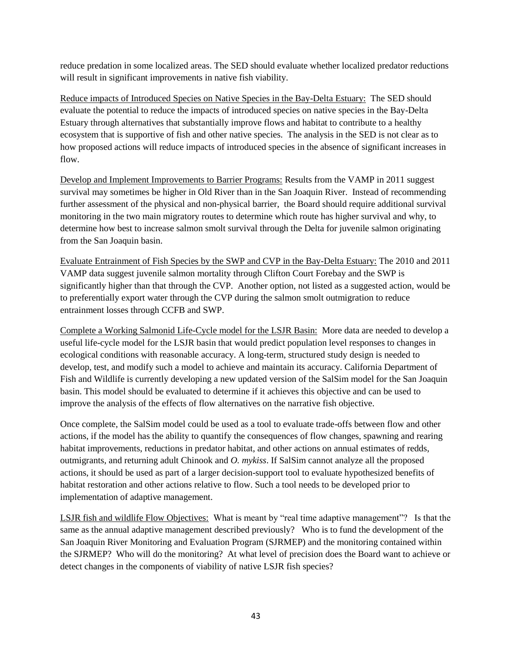reduce predation in some localized areas. The SED should evaluate whether localized predator reductions will result in significant improvements in native fish viability.

Reduce impacts of Introduced Species on Native Species in the Bay-Delta Estuary: The SED should evaluate the potential to reduce the impacts of introduced species on native species in the Bay-Delta Estuary through alternatives that substantially improve flows and habitat to contribute to a healthy ecosystem that is supportive of fish and other native species. The analysis in the SED is not clear as to how proposed actions will reduce impacts of introduced species in the absence of significant increases in flow.

Develop and Implement Improvements to Barrier Programs: Results from the VAMP in 2011 suggest survival may sometimes be higher in Old River than in the San Joaquin River. Instead of recommending further assessment of the physical and non-physical barrier, the Board should require additional survival monitoring in the two main migratory routes to determine which route has higher survival and why, to determine how best to increase salmon smolt survival through the Delta for juvenile salmon originating from the San Joaquin basin.

Evaluate Entrainment of Fish Species by the SWP and CVP in the Bay-Delta Estuary: The 2010 and 2011 VAMP data suggest juvenile salmon mortality through Clifton Court Forebay and the SWP is significantly higher than that through the CVP. Another option, not listed as a suggested action, would be to preferentially export water through the CVP during the salmon smolt outmigration to reduce entrainment losses through CCFB and SWP.

Complete a Working Salmonid Life-Cycle model for the LSJR Basin: More data are needed to develop a useful life-cycle model for the LSJR basin that would predict population level responses to changes in ecological conditions with reasonable accuracy. A long-term, structured study design is needed to develop, test, and modify such a model to achieve and maintain its accuracy. California Department of Fish and Wildlife is currently developing a new updated version of the SalSim model for the San Joaquin basin. This model should be evaluated to determine if it achieves this objective and can be used to improve the analysis of the effects of flow alternatives on the narrative fish objective.

Once complete, the SalSim model could be used as a tool to evaluate trade-offs between flow and other actions, if the model has the ability to quantify the consequences of flow changes, spawning and rearing habitat improvements, reductions in predator habitat, and other actions on annual estimates of redds, outmigrants, and returning adult Chinook and *O. mykiss*. If SalSim cannot analyze all the proposed actions, it should be used as part of a larger decision-support tool to evaluate hypothesized benefits of habitat restoration and other actions relative to flow. Such a tool needs to be developed prior to implementation of adaptive management.

LSJR fish and wildlife Flow Objectives: What is meant by "real time adaptive management"? Is that the same as the annual adaptive management described previously? Who is to fund the development of the San Joaquin River Monitoring and Evaluation Program (SJRMEP) and the monitoring contained within the SJRMEP? Who will do the monitoring? At what level of precision does the Board want to achieve or detect changes in the components of viability of native LSJR fish species?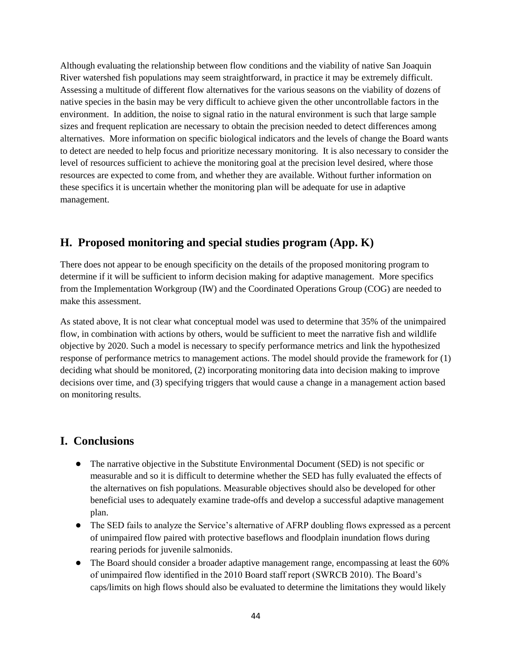Although evaluating the relationship between flow conditions and the viability of native San Joaquin River watershed fish populations may seem straightforward, in practice it may be extremely difficult. Assessing a multitude of different flow alternatives for the various seasons on the viability of dozens of native species in the basin may be very difficult to achieve given the other uncontrollable factors in the environment. In addition, the noise to signal ratio in the natural environment is such that large sample sizes and frequent replication are necessary to obtain the precision needed to detect differences among alternatives. More information on specific biological indicators and the levels of change the Board wants to detect are needed to help focus and prioritize necessary monitoring. It is also necessary to consider the level of resources sufficient to achieve the monitoring goal at the precision level desired, where those resources are expected to come from, and whether they are available. Without further information on these specifics it is uncertain whether the monitoring plan will be adequate for use in adaptive management.

## **H. Proposed monitoring and special studies program (App. K)**

There does not appear to be enough specificity on the details of the proposed monitoring program to determine if it will be sufficient to inform decision making for adaptive management. More specifics from the Implementation Workgroup (IW) and the Coordinated Operations Group (COG) are needed to make this assessment.

As stated above, It is not clear what conceptual model was used to determine that 35% of the unimpaired flow, in combination with actions by others, would be sufficient to meet the narrative fish and wildlife objective by 2020. Such a model is necessary to specify performance metrics and link the hypothesized response of performance metrics to management actions. The model should provide the framework for (1) deciding what should be monitored, (2) incorporating monitoring data into decision making to improve decisions over time, and (3) specifying triggers that would cause a change in a management action based on monitoring results.

## **I. Conclusions**

- The narrative objective in the Substitute Environmental Document (SED) is not specific or measurable and so it is difficult to determine whether the SED has fully evaluated the effects of the alternatives on fish populations. Measurable objectives should also be developed for other beneficial uses to adequately examine trade-offs and develop a successful adaptive management plan.
- The SED fails to analyze the Service's alternative of AFRP doubling flows expressed as a percent of unimpaired flow paired with protective baseflows and floodplain inundation flows during rearing periods for juvenile salmonids.
- The Board should consider a broader adaptive management range, encompassing at least the 60% of unimpaired flow identified in the 2010 Board staff report (SWRCB 2010). The Board's caps/limits on high flows should also be evaluated to determine the limitations they would likely